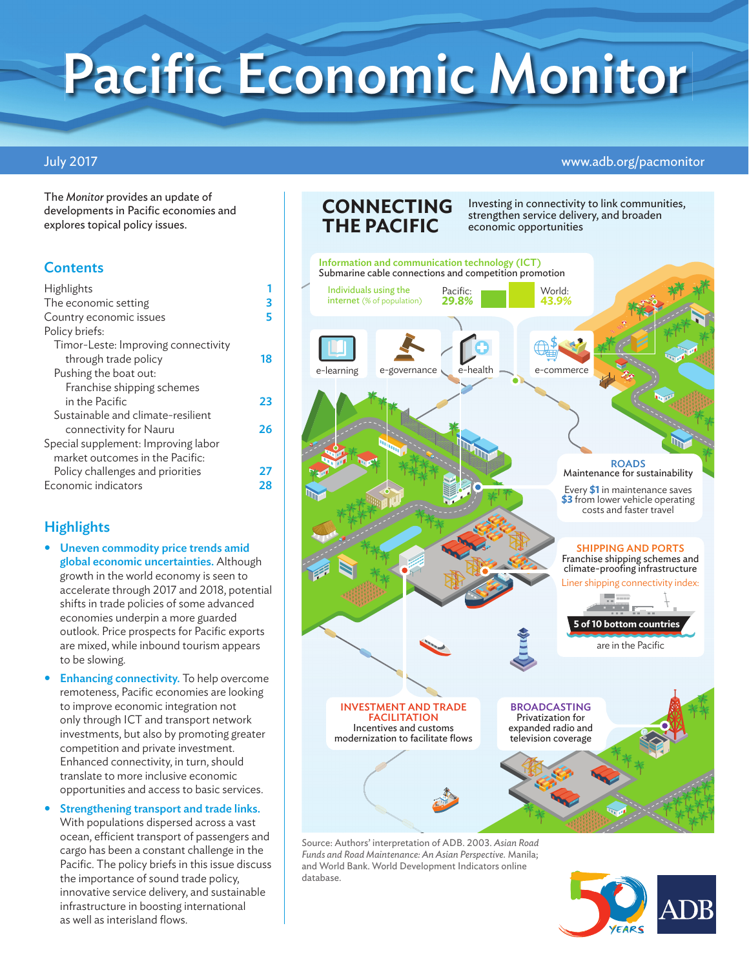# Pacific Economic Monitor

#### July 2017 www.adb.org/pacmonitor

The *Monitor* provides an update of developments in Pacific economies and explores topical policy issues.

## **Contents**

| Highlights                          |    |
|-------------------------------------|----|
| The economic setting                | 3  |
| Country economic issues             |    |
| Policy briefs:                      |    |
| Timor-Leste: Improving connectivity |    |
| through trade policy                | 18 |
| Pushing the boat out:               |    |
| Franchise shipping schemes          |    |
| in the Pacific                      | 23 |
| Sustainable and climate-resilient   |    |
| connectivity for Nauru              | 26 |
| Special supplement: Improving labor |    |
| market outcomes in the Pacific:     |    |
| Policy challenges and priorities    | 27 |
| Economic indicators                 | 28 |

# **Highlights**

- Uneven commodity price trends amid global economic uncertainties. Although growth in the world economy is seen to accelerate through 2017 and 2018, potential shifts in trade policies of some advanced economies underpin a more guarded outlook. Price prospects for Pacific exports are mixed, while inbound tourism appears to be slowing.
- **Enhancing connectivity.** To help overcome remoteness, Pacific economies are looking to improve economic integration not only through ICT and transport network investments, but also by promoting greater competition and private investment. Enhanced connectivity, in turn, should translate to more inclusive economic opportunities and access to basic services.
- Strengthening transport and trade links. With populations dispersed across a vast ocean, efficient transport of passengers and cargo has been a constant challenge in the Pacific. The policy briefs in this issue discuss the importance of sound trade policy, innovative service delivery, and sustainable infrastructure in boosting international as well as interisland flows.

# **CONNECTING THE PACIFIC**

Investing in connectivity to link communities, strengthen service delivery, and broaden economic opportunities



Source: Authors' interpretation of ADB. 2003. *Asian Road Funds and Road Maintenance: An Asian Perspective.* Manila; and World Bank. World Development Indicators online database.

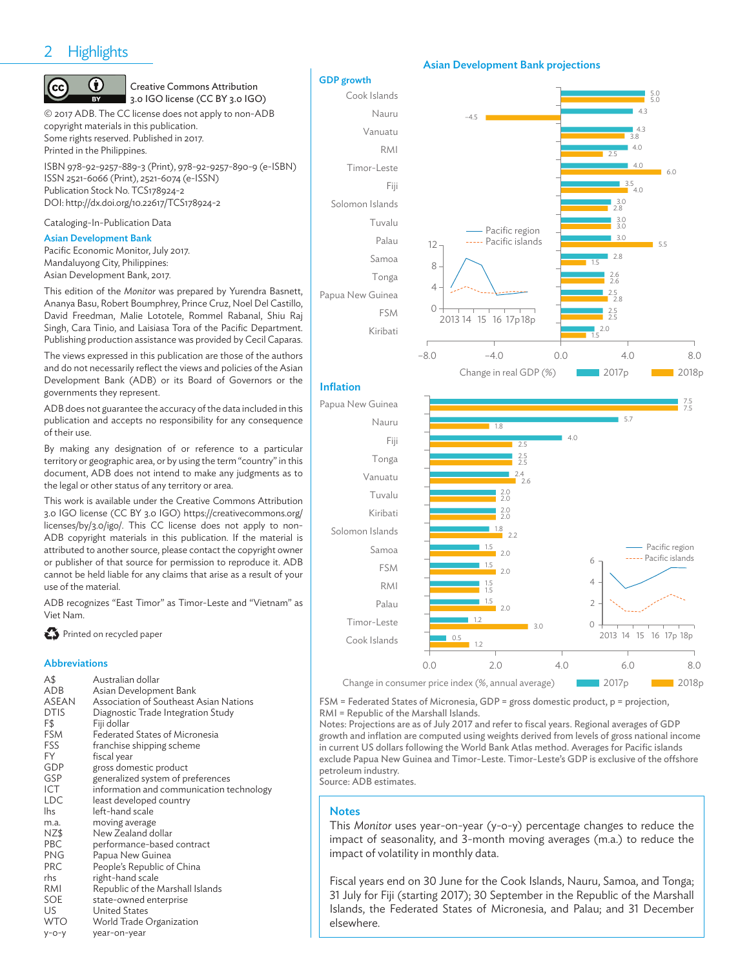#### 2-**Highlights**

#### (<del>i</del>) (cc

#### Creative Commons Attribution 3.0 IGO license (CC BY 3.0 IGO)

© 2017 ADB. The CC license does not apply to non-ADB copyright materials in this publication. Some rights reserved. Published in 2017. Printed in the Philippines. ISBN 978-92-9257-889-3 (Print), 978-92-9257-890-9 (e-ISBN)

ISSN 2521-6066 (Print), 2521-6074 (e-ISSN) Publication Stock No. TCS178924-2 DOI: http://dx.doi.org/10.22617/TCS178924-2

#### Cataloging-In-Publication Data

#### Asian Development Bank

Pacific Economic Monitor, July 2017. Mandaluyong City, Philippines: Asian Development Bank, 2017.

This edition of the *Monitor* was prepared by Yurendra Basnett, Ananya Basu, Robert Boumphrey, Prince Cruz, Noel Del Castillo, David Freedman, Malie Lototele, Rommel Rabanal, Shiu Raj Singh, Cara Tinio, and Laisiasa Tora of the Pacific Department. Publishing production assistance was provided by Cecil Caparas.

The views expressed in this publication are those of the authors and do not necessarily reflect the views and policies of the Asian Development Bank (ADB) or its Board of Governors or the governments they represent.

ADB does not guarantee the accuracy of the data included in this publication and accepts no responsibility for any consequence of their use.

By making any designation of or reference to a particular territory or geographic area, or by using the term "country" in this document, ADB does not intend to make any judgments as to the legal or other status of any territory or area.

This work is available under the Creative Commons Attribution 3.0 IGO license (CC BY 3.0 IGO) https://creativecommons.org/ licenses/by/3.0/igo/. This CC license does not apply to non-ADB copyright materials in this publication. If the material is attributed to another source, please contact the copyright owner or publisher of that source for permission to reproduce it. ADB cannot be held liable for any claims that arise as a result of your use of the material.

ADB recognizes "East Timor" as Timor-Leste and "Vietnam" as Viet Nam.

**Printed on recycled paper** 

#### Abbreviations

| A\$          | Australian dollar                        |
|--------------|------------------------------------------|
| ADB          | Asian Development Bank                   |
| <b>ASEAN</b> | Association of Southeast Asian Nations   |
| <b>DTIS</b>  | Diagnostic Trade Integration Study       |
| F\$          | Fiji dollar                              |
| <b>FSM</b>   | Federated States of Micronesia           |
| FSS          | franchise shipping scheme                |
| FY.          | fiscal year                              |
| GDP          | gross domestic product                   |
| GSP          | generalized system of preferences        |
| ICT          | information and communication technology |
| <b>LDC</b>   | least developed country                  |
| <b>lhs</b>   | left-hand scale                          |
| m.a.         | moving average                           |
| NZ\$         | New Zealand dollar                       |
| <b>PBC</b>   | performance-based contract               |
| <b>PNG</b>   | Papua New Guinea                         |
| <b>PRC</b>   | People's Republic of China               |
| rhs          | right-hand scale                         |
| RMI          | Republic of the Marshall Islands         |
| <b>SOE</b>   | state-owned enterprise                   |
| US.          | United States                            |
| <b>WTO</b>   | World Trade Organization                 |
| $y$ -o-y     | year-on-year                             |

#### GDP growth



Inflation

#### Asian Development Bank projections



Change in consumer price index (%, annual average)

FSM = Federated States of Micronesia, GDP = gross domestic product, p = projection, RMI = Republic of the Marshall Islands.

Notes: Projections are as of July 2017 and refer to fiscal years. Regional averages of GDP growth and inflation are computed using weights derived from levels of gross national income in current US dollars following the World Bank Atlas method. Averages for Pacific islands exclude Papua New Guinea and Timor-Leste. Timor-Leste's GDP is exclusive of the offshore petroleum industry.

Source: ADB estimates.

#### **Notes**

This *Monitor* uses year-on-year (y-o-y) percentage changes to reduce the impact of seasonality, and 3-month moving averages (m.a.) to reduce the impact of volatility in monthly data.

Fiscal years end on 30 June for the Cook Islands, Nauru, Samoa, and Tonga; 31 July for Fiji (starting 2017); 30 September in the Republic of the Marshall Islands, the Federated States of Micronesia, and Palau; and 31 December elsewhere.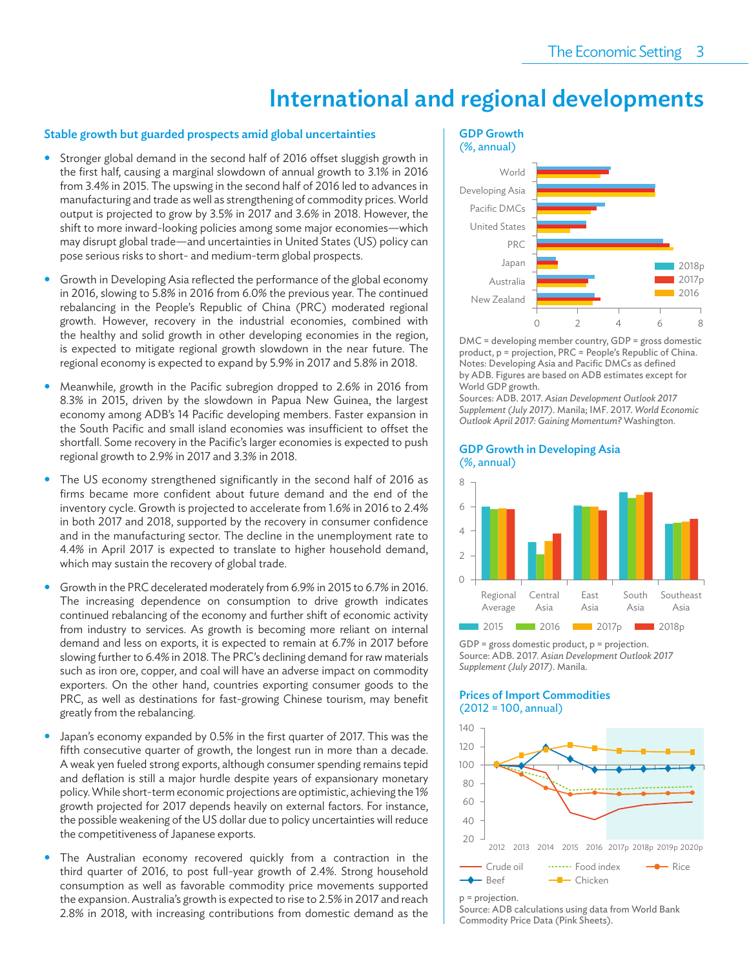# International and regional developments

#### Stable growth but guarded prospects amid global uncertainties

- Stronger global demand in the second half of 2016 offset sluggish growth in the first half, causing a marginal slowdown of annual growth to 3.1% in 2016 from 3.4% in 2015. The upswing in the second half of 2016 led to advances in manufacturing and trade as well as strengthening of commodity prices. World output is projected to grow by 3.5% in 2017 and 3.6% in 2018. However, the shift to more inward-looking policies among some major economies—which may disrupt global trade—and uncertainties in United States (US) policy can pose serious risks to short- and medium-term global prospects.
- Growth in Developing Asia reflected the performance of the global economy in 2016, slowing to 5.8% in 2016 from 6.0% the previous year. The continued rebalancing in the People's Republic of China (PRC) moderated regional growth. However, recovery in the industrial economies, combined with the healthy and solid growth in other developing economies in the region, is expected to mitigate regional growth slowdown in the near future. The regional economy is expected to expand by 5.9% in 2017 and 5.8% in 2018.
- Meanwhile, growth in the Pacific subregion dropped to 2.6% in 2016 from 8.3% in 2015, driven by the slowdown in Papua New Guinea, the largest economy among ADB's 14 Pacific developing members. Faster expansion in the South Pacific and small island economies was insufficient to offset the shortfall. Some recovery in the Pacific's larger economies is expected to push regional growth to 2.9% in 2017 and 3.3% in 2018.
- The US economy strengthened significantly in the second half of 2016 as firms became more confident about future demand and the end of the inventory cycle. Growth is projected to accelerate from 1.6% in 2016 to 2.4% in both 2017 and 2018, supported by the recovery in consumer confidence and in the manufacturing sector. The decline in the unemployment rate to 4.4% in April 2017 is expected to translate to higher household demand, which may sustain the recovery of global trade.
- Growth in the PRC decelerated moderately from 6.9% in 2015 to 6.7% in 2016. The increasing dependence on consumption to drive growth indicates continued rebalancing of the economy and further shift of economic activity from industry to services. As growth is becoming more reliant on internal demand and less on exports, it is expected to remain at 6.7% in 2017 before slowing further to 6.4% in 2018. The PRC's declining demand for raw materials such as iron ore, copper, and coal will have an adverse impact on commodity exporters. On the other hand, countries exporting consumer goods to the PRC, as well as destinations for fast-growing Chinese tourism, may benefit greatly from the rebalancing.
- Japan's economy expanded by 0.5% in the first quarter of 2017. This was the fifth consecutive quarter of growth, the longest run in more than a decade. A weak yen fueled strong exports, although consumer spending remains tepid and deflation is still a major hurdle despite years of expansionary monetary policy. While short-term economic projections are optimistic, achieving the 1% growth projected for 2017 depends heavily on external factors. For instance, the possible weakening of the US dollar due to policy uncertainties will reduce the competitiveness of Japanese exports.
- The Australian economy recovered quickly from a contraction in the third quarter of 2016, to post full-year growth of 2.4%. Strong household consumption as well as favorable commodity price movements supported the expansion. Australia's growth is expected to rise to 2.5% in 2017 and reach 2.8% in 2018, with increasing contributions from domestic demand as the

#### GDP Growth (%, annual)



DMC = developing member country, GDP = gross domestic product, p = projection, PRC = People's Republic of China. Notes: Developing Asia and Pacific DMCs as defined by ADB. Figures are based on ADB estimates except for World GDP growth.

Sources: ADB. 2017. *Asian Development Outlook 2017 Supplement (July 2017)*. Manila; IMF. 2017. *World Economic Outlook April 2017: Gaining Momentum?* Washington.

#### GDP Growth in Developing Asia (%, annual)



GDP = gross domestic product, p = projection. Source: ADB. 2017. *Asian Development Outlook 2017 Supplement (July 2017)*. Manila.

#### Prices of Import Commodities (2012 = 100, annual)





Source: ADB calculations using data from World Bank Commodity Price Data (Pink Sheets).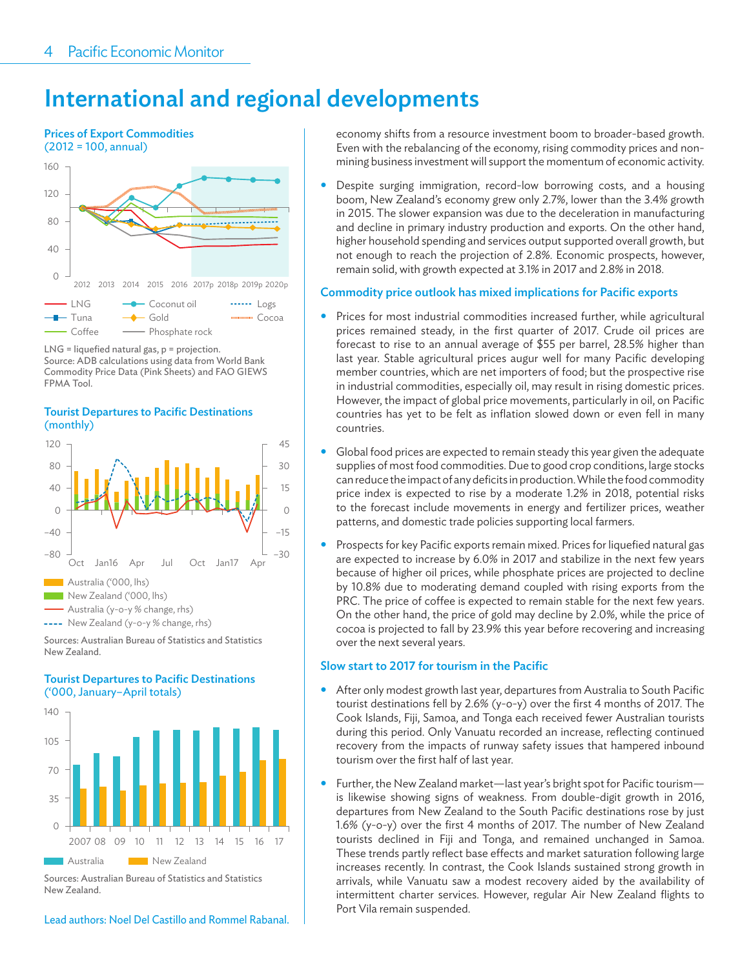# International and regional developments





#### **Tourist Departures to Pacific Destinations** (monthly)



Sources: Australian Bureau of Statistics and Statistics New Zealand.

#### **Tourist Departures to Pacific Destinations** ('000, January–April totals)



Sources: Australian Bureau of Statistics and Statistics New Zealand.

Lead authors: Noel Del Castillo and Rommel Rabanal.

economy shifts from a resource investment boom to broader-based growth. Even with the rebalancing of the economy, rising commodity prices and nonmining business investment will support the momentum of economic activity.

 Despite surging immigration, record-low borrowing costs, and a housing boom, New Zealand's economy grew only 2.7%, lower than the 3.4% growth in 2015. The slower expansion was due to the deceleration in manufacturing and decline in primary industry production and exports. On the other hand, higher household spending and services output supported overall growth, but not enough to reach the projection of 2.8%. Economic prospects, however, remain solid, with growth expected at 3.1% in 2017 and 2.8% in 2018.

#### Commodity price outlook has mixed implications for Pacific exports

- Prices for most industrial commodities increased further, while agricultural prices remained steady, in the first quarter of 2017. Crude oil prices are forecast to rise to an annual average of \$55 per barrel, 28.5% higher than last year. Stable agricultural prices augur well for many Pacific developing member countries, which are net importers of food; but the prospective rise in industrial commodities, especially oil, may result in rising domestic prices. However, the impact of global price movements, particularly in oil, on Pacific countries has yet to be felt as inflation slowed down or even fell in many countries.
- Global food prices are expected to remain steady this year given the adequate supplies of most food commodities. Due to good crop conditions, large stocks can reduce the impact of any deficits in production. While the food commodity price index is expected to rise by a moderate 1.2% in 2018, potential risks to the forecast include movements in energy and fertilizer prices, weather patterns, and domestic trade policies supporting local farmers.
- Prospects for key Pacific exports remain mixed. Prices for liquefied natural gas are expected to increase by 6.0% in 2017 and stabilize in the next few years because of higher oil prices, while phosphate prices are projected to decline by 10.8% due to moderating demand coupled with rising exports from the PRC. The price of coffee is expected to remain stable for the next few years. On the other hand, the price of gold may decline by 2.0%, while the price of cocoa is projected to fall by 23.9% this year before recovering and increasing over the next several years.

#### Slow start to 2017 for tourism in the Pacific

- After only modest growth last year, departures from Australia to South Pacific tourist destinations fell by 2.6% (y-o-y) over the first 4 months of 2017. The Cook Islands, Fiji, Samoa, and Tonga each received fewer Australian tourists during this period. Only Vanuatu recorded an increase, reflecting continued recovery from the impacts of runway safety issues that hampered inbound tourism over the first half of last year.
- Further, the New Zealand market—last year's bright spot for Pacific tourism is likewise showing signs of weakness. From double-digit growth in 2016, departures from New Zealand to the South Pacific destinations rose by just 1.6% (y-o-y) over the first 4 months of 2017. The number of New Zealand tourists declined in Fiji and Tonga, and remained unchanged in Samoa. These trends partly reflect base effects and market saturation following large increases recently. In contrast, the Cook Islands sustained strong growth in arrivals, while Vanuatu saw a modest recovery aided by the availability of intermittent charter services. However, regular Air New Zealand flights to Port Vila remain suspended.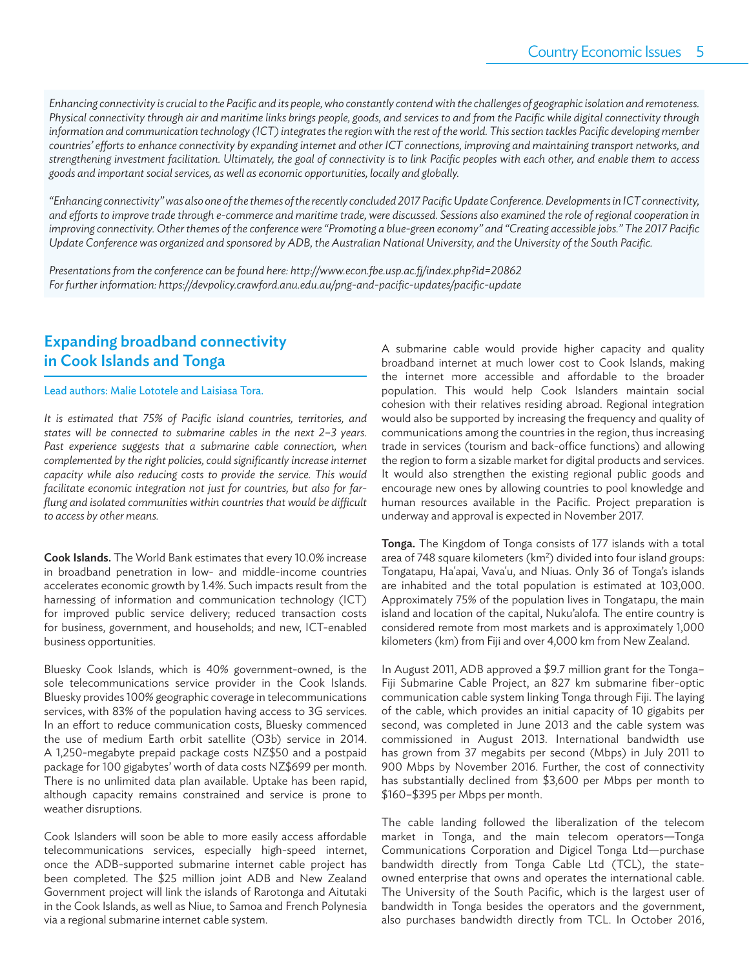*Enhancing connectivity is crucial to the Pacifi c and its people, who constantly contend with the challenges of geographic isolation and remoteness.*  Physical connectivity through air and maritime links brings people, goods, and services to and from the Pacific while digital connectivity through information and communication technology (ICT) integrates the region with the rest of the world. This section tackles Pacific developing member countries' efforts to enhance connectivity by expanding internet and other ICT connections, improving and maintaining transport networks, and strengthening investment facilitation. Ultimately, the goal of connectivity is to link Pacific peoples with each other, and enable them to access *goods and important social services, as well as economic opportunities, locally and globally.* 

*"Enhancing connectivity" was also one of the themes of the recently concluded 2017 Pacifi c Update Conference. Developments in ICT connectivity, and eff orts to improve trade through e-commerce and maritime trade, were discussed. Sessions also examined the role of regional cooperation in*  improving connectivity. Other themes of the conference were "Promoting a blue-green economy" and "Creating accessible jobs." The 2017 Pacific Update Conference was organized and sponsored by ADB, the Australian National University, and the University of the South Pacific.

Presentations from the conference can be found here: http://www.econ.fbe.usp.ac.fj/index.php?id=20862 For further information: https://devpolicy.crawford.anu.edu.au/png-and-pacific-updates/pacific-update

# Expanding broadband connectivity in Cook Islands and Tonga

#### Lead authors: Malie Lototele and Laisiasa Tora.

It is estimated that 75% of Pacific island countries, territories, and *states will be connected to submarine cables in the next 2–3 years.*  Past experience suggests that a submarine cable connection, when *complemented by the right policies, could significantly increase internet capacity while also reducing costs to provide the service. This would facilitate economic integration not just for countries, but also for far*flung and isolated communities within countries that would be difficult *to access by other means.*

Cook Islands. The World Bank estimates that every 10.0% increase in broadband penetration in low- and middle-income countries accelerates economic growth by 1.4%. Such impacts result from the harnessing of information and communication technology (ICT) for improved public service delivery; reduced transaction costs for business, government, and households; and new, ICT-enabled business opportunities.

Bluesky Cook Islands, which is 40% government-owned, is the sole telecommunications service provider in the Cook Islands. Bluesky provides 100% geographic coverage in telecommunications services, with 83% of the population having access to 3G services. In an effort to reduce communication costs, Bluesky commenced the use of medium Earth orbit satellite (O3b) service in 2014. A 1,250-megabyte prepaid package costs NZ\$50 and a postpaid package for 100 gigabytes' worth of data costs NZ\$699 per month. There is no unlimited data plan available. Uptake has been rapid, although capacity remains constrained and service is prone to weather disruptions.

Cook Islanders will soon be able to more easily access affordable telecommunications services, especially high-speed internet, once the ADB-supported submarine internet cable project has been completed. The \$25 million joint ADB and New Zealand Government project will link the islands of Rarotonga and Aitutaki in the Cook Islands, as well as Niue, to Samoa and French Polynesia via a regional submarine internet cable system.

A submarine cable would provide higher capacity and quality broadband internet at much lower cost to Cook Islands, making the internet more accessible and affordable to the broader population. This would help Cook Islanders maintain social cohesion with their relatives residing abroad. Regional integration would also be supported by increasing the frequency and quality of communications among the countries in the region, thus increasing trade in services (tourism and back-office functions) and allowing the region to form a sizable market for digital products and services. It would also strengthen the existing regional public goods and encourage new ones by allowing countries to pool knowledge and human resources available in the Pacific. Project preparation is underway and approval is expected in November 2017.

Tonga. The Kingdom of Tonga consists of 177 islands with a total area of 748 square kilometers (km<sup>2</sup>) divided into four island groups: Tongatapu, Ha'apai, Vava'u, and Niuas. Only 36 of Tonga's islands are inhabited and the total population is estimated at 103,000. Approximately 75% of the population lives in Tongatapu, the main island and location of the capital, Nuku'alofa. The entire country is considered remote from most markets and is approximately 1,000 kilometers (km) from Fiji and over 4,000 km from New Zealand.

In August 2011, ADB approved a \$9.7 million grant for the Tonga– Fiji Submarine Cable Project, an 827 km submarine fiber-optic communication cable system linking Tonga through Fiji. The laying of the cable, which provides an initial capacity of 10 gigabits per second, was completed in June 2013 and the cable system was commissioned in August 2013. International bandwidth use has grown from 37 megabits per second (Mbps) in July 2011 to 900 Mbps by November 2016. Further, the cost of connectivity has substantially declined from \$3,600 per Mbps per month to \$160–\$395 per Mbps per month.

The cable landing followed the liberalization of the telecom market in Tonga, and the main telecom operators—Tonga Communications Corporation and Digicel Tonga Ltd—purchase bandwidth directly from Tonga Cable Ltd (TCL), the stateowned enterprise that owns and operates the international cable. The University of the South Pacific, which is the largest user of bandwidth in Tonga besides the operators and the government, also purchases bandwidth directly from TCL. In October 2016,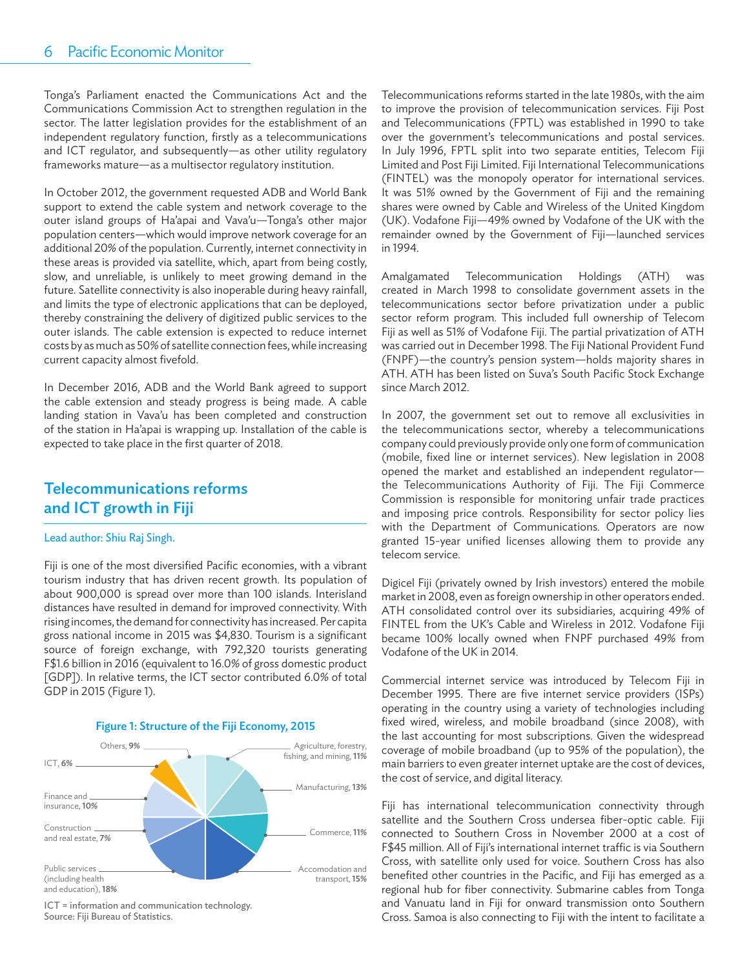Tonga's Parliament enacted the Communications Act and the Communications Commission Act to strengthen regulation in the sector. The latter legislation provides for the establishment of an independent regulatory function, firstly as a telecommunications and ICT regulator, and subsequently—as other utility regulatory frameworks mature—as a multisector regulatory institution.

In October 2012, the government requested ADB and World Bank support to extend the cable system and network coverage to the outer island groups of Ha'apai and Vava'u—Tonga's other major population centers—which would improve network coverage for an additional 20% of the population. Currently, internet connectivity in these areas is provided via satellite, which, apart from being costly, slow, and unreliable, is unlikely to meet growing demand in the future. Satellite connectivity is also inoperable during heavy rainfall, and limits the type of electronic applications that can be deployed, thereby constraining the delivery of digitized public services to the outer islands. The cable extension is expected to reduce internet costs by as much as 50% of satellite connection fees, while increasing current capacity almost fivefold.

In December 2016, ADB and the World Bank agreed to support the cable extension and steady progress is being made. A cable landing station in Vava'u has been completed and construction of the station in Ha'apai is wrapping up. Installation of the cable is expected to take place in the first quarter of 2018.

## Telecommunications reforms and ICT growth in Fiji

#### Lead author: Shiu Raj Singh.

Fiji is one of the most diversified Pacific economies, with a vibrant tourism industry that has driven recent growth. Its population of about 900,000 is spread over more than 100 islands. Interisland distances have resulted in demand for improved connectivity. With rising incomes, the demand for connectivity has increased. Per capita gross national income in 2015 was \$4,830. Tourism is a significant source of foreign exchange, with 792,320 tourists generating F\$1.6 billion in 2016 (equivalent to 16.0% of gross domestic product [GDP]). In relative terms, the ICT sector contributed 6.0% of total GDP in 2015 (Figure 1).



ICT = information and communication technology. Source: Fiji Bureau of Statistics.

Telecommunications reforms started in the late 1980s, with the aim to improve the provision of telecommunication services. Fiji Post and Telecommunications (FPTL) was established in 1990 to take over the government's telecommunications and postal services. In July 1996, FPTL split into two separate entities, Telecom Fiji Limited and Post Fiji Limited. Fiji International Telecommunications (FINTEL) was the monopoly operator for international services. It was 51% owned by the Government of Fiji and the remaining shares were owned by Cable and Wireless of the United Kingdom (UK). Vodafone Fiji—49% owned by Vodafone of the UK with the remainder owned by the Government of Fiji—launched services in 1994.

Amalgamated Telecommunication Holdings (ATH) was created in March 1998 to consolidate government assets in the telecommunications sector before privatization under a public sector reform program. This included full ownership of Telecom Fiji as well as 51% of Vodafone Fiji. The partial privatization of ATH was carried out in December 1998. The Fiji National Provident Fund (FNPF)—the country's pension system—holds majority shares in ATH. ATH has been listed on Suva's South Pacific Stock Exchange since March 2012.

In 2007, the government set out to remove all exclusivities in the telecommunications sector, whereby a telecommunications company could previously provide only one form of communication (mobile, fixed line or internet services). New legislation in 2008 opened the market and established an independent regulator the Telecommunications Authority of Fiji. The Fiji Commerce Commission is responsible for monitoring unfair trade practices and imposing price controls. Responsibility for sector policy lies with the Department of Communications. Operators are now granted 15-year unified licenses allowing them to provide any telecom service.

Digicel Fiji (privately owned by Irish investors) entered the mobile market in 2008, even as foreign ownership in other operators ended. ATH consolidated control over its subsidiaries, acquiring 49% of FINTEL from the UK's Cable and Wireless in 2012. Vodafone Fiji became 100% locally owned when FNPF purchased 49% from Vodafone of the UK in 2014.

Commercial internet service was introduced by Telecom Fiji in December 1995. There are five internet service providers (ISPs) operating in the country using a variety of technologies including fixed wired, wireless, and mobile broadband (since 2008), with the last accounting for most subscriptions. Given the widespread coverage of mobile broadband (up to 95% of the population), the main barriers to even greater internet uptake are the cost of devices, the cost of service, and digital literacy.

Fiji has international telecommunication connectivity through satellite and the Southern Cross undersea fiber-optic cable. Fiji connected to Southern Cross in November 2000 at a cost of F\$45 million. All of Fiji's international internet traffic is via Southern Cross, with satellite only used for voice. Southern Cross has also benefited other countries in the Pacific, and Fiji has emerged as a regional hub for fiber connectivity. Submarine cables from Tonga and Vanuatu land in Fiji for onward transmission onto Southern Cross. Samoa is also connecting to Fiji with the intent to facilitate a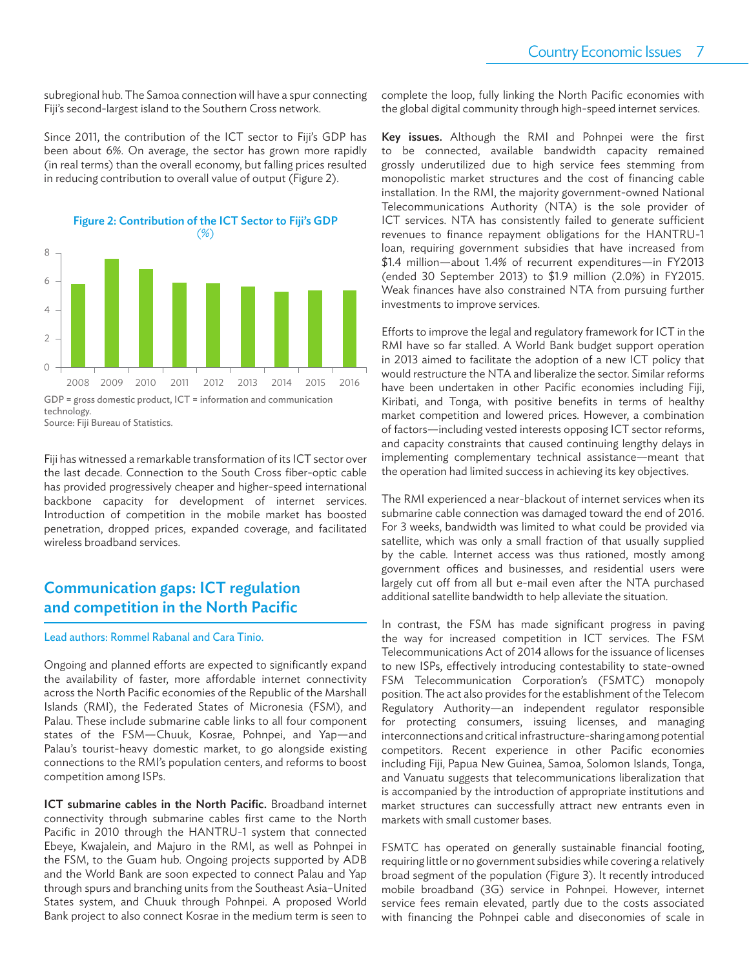subregional hub. The Samoa connection will have a spur connecting Fiji's second-largest island to the Southern Cross network.

Since 2011, the contribution of the ICT sector to Fiji's GDP has been about 6%. On average, the sector has grown more rapidly (in real terms) than the overall economy, but falling prices resulted in reducing contribution to overall value of output (Figure 2).



Source: Fiji Bureau of Statistics.

Fiji has witnessed a remarkable transformation of its ICT sector over the last decade. Connection to the South Cross fiber-optic cable has provided progressively cheaper and higher-speed international backbone capacity for development of internet services. Introduction of competition in the mobile market has boosted penetration, dropped prices, expanded coverage, and facilitated wireless broadband services.

## Communication gaps: ICT regulation and competition in the North Pacific

#### Lead authors: Rommel Rabanal and Cara Tinio.

Ongoing and planned efforts are expected to significantly expand the availability of faster, more affordable internet connectivity across the North Pacific economies of the Republic of the Marshall Islands (RMI), the Federated States of Micronesia (FSM), and Palau. These include submarine cable links to all four component states of the FSM—Chuuk, Kosrae, Pohnpei, and Yap—and Palau's tourist-heavy domestic market, to go alongside existing connections to the RMI's population centers, and reforms to boost competition among ISPs.

ICT submarine cables in the North Pacific. Broadband internet connectivity through submarine cables first came to the North Pacific in 2010 through the HANTRU-1 system that connected Ebeye, Kwajalein, and Majuro in the RMI, as well as Pohnpei in the FSM, to the Guam hub. Ongoing projects supported by ADB and the World Bank are soon expected to connect Palau and Yap through spurs and branching units from the Southeast Asia–United States system, and Chuuk through Pohnpei. A proposed World Bank project to also connect Kosrae in the medium term is seen to complete the loop, fully linking the North Pacific economies with the global digital community through high-speed internet services.

Key issues. Although the RMI and Pohnpei were the first to be connected, available bandwidth capacity remained grossly underutilized due to high service fees stemming from monopolistic market structures and the cost of financing cable installation. In the RMI, the majority government-owned National Telecommunications Authority (NTA) is the sole provider of ICT services. NTA has consistently failed to generate sufficient revenues to finance repayment obligations for the HANTRU-1 loan, requiring government subsidies that have increased from \$1.4 million—about 1.4% of recurrent expenditures—in FY2013 (ended 30 September 2013) to \$1.9 million (2.0%) in FY2015. Weak finances have also constrained NTA from pursuing further investments to improve services.

Efforts to improve the legal and regulatory framework for ICT in the RMI have so far stalled. A World Bank budget support operation in 2013 aimed to facilitate the adoption of a new ICT policy that would restructure the NTA and liberalize the sector. Similar reforms have been undertaken in other Pacific economies including Fiji, Kiribati, and Tonga, with positive benefits in terms of healthy market competition and lowered prices. However, a combination of factors—including vested interests opposing ICT sector reforms, and capacity constraints that caused continuing lengthy delays in implementing complementary technical assistance—meant that the operation had limited success in achieving its key objectives.

The RMI experienced a near-blackout of internet services when its submarine cable connection was damaged toward the end of 2016. For 3 weeks, bandwidth was limited to what could be provided via satellite, which was only a small fraction of that usually supplied by the cable. Internet access was thus rationed, mostly among government offices and businesses, and residential users were largely cut off from all but e-mail even after the NTA purchased additional satellite bandwidth to help alleviate the situation.

In contrast, the FSM has made significant progress in paving the way for increased competition in ICT services. The FSM Telecommunications Act of 2014 allows for the issuance of licenses to new ISPs, effectively introducing contestability to state-owned FSM Telecommunication Corporation's (FSMTC) monopoly position. The act also provides for the establishment of the Telecom Regulatory Authority—an independent regulator responsible for protecting consumers, issuing licenses, and managing interconnections and critical infrastructure-sharing among potential competitors. Recent experience in other Pacific economies including Fiji, Papua New Guinea, Samoa, Solomon Islands, Tonga, and Vanuatu suggests that telecommunications liberalization that is accompanied by the introduction of appropriate institutions and market structures can successfully attract new entrants even in markets with small customer bases.

FSMTC has operated on generally sustainable financial footing, requiring little or no government subsidies while covering a relatively broad segment of the population (Figure 3). It recently introduced mobile broadband (3G) service in Pohnpei. However, internet service fees remain elevated, partly due to the costs associated with financing the Pohnpei cable and diseconomies of scale in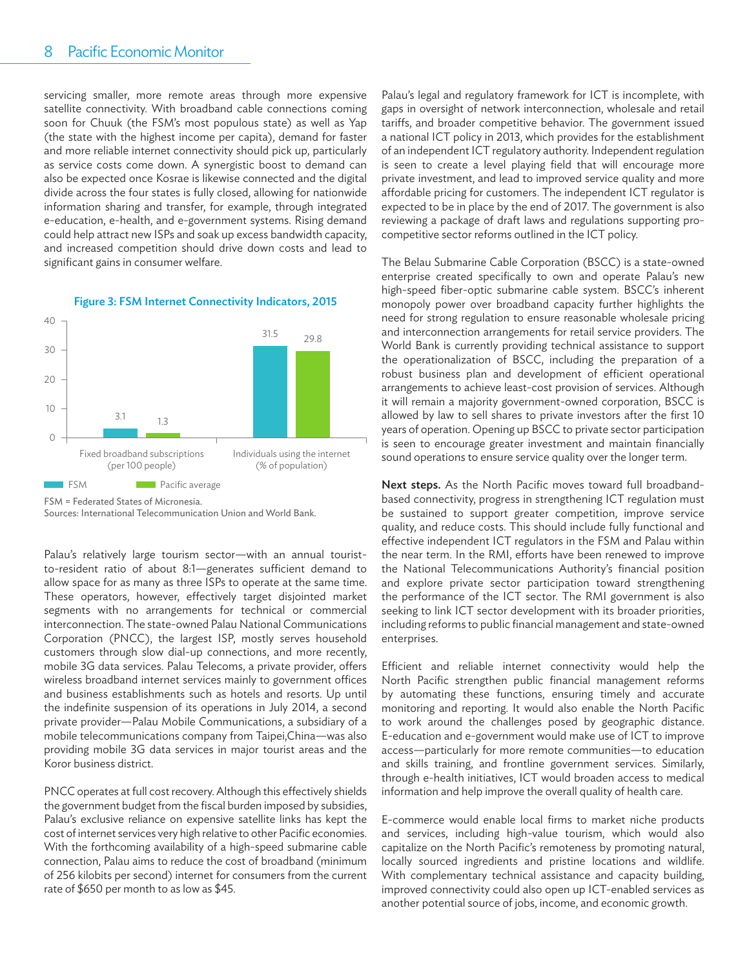#### 8-Pacific Economic Monitor

servicing smaller, more remote areas through more expensive satellite connectivity. With broadband cable connections coming soon for Chuuk (the FSM's most populous state) as well as Yap (the state with the highest income per capita), demand for faster and more reliable internet connectivity should pick up, particularly as service costs come down. A synergistic boost to demand can also be expected once Kosrae is likewise connected and the digital divide across the four states is fully closed, allowing for nationwide information sharing and transfer, for example, through integrated e-education, e-health, and e-government systems. Rising demand could help attract new ISPs and soak up excess bandwidth capacity, and increased competition should drive down costs and lead to significant gains in consumer welfare.



#### Figure 3: FSM Internet Connectivity Indicators, 2015

FSM = Federated States of Micronesia.

Sources: International Telecommunication Union and World Bank.

Palau's relatively large tourism sector—with an annual touristto-resident ratio of about 8:1-generates sufficient demand to allow space for as many as three ISPs to operate at the same time. These operators, however, effectively target disjointed market segments with no arrangements for technical or commercial interconnection. The state-owned Palau National Communications Corporation (PNCC), the largest ISP, mostly serves household customers through slow dial-up connections, and more recently, mobile 3G data services. Palau Telecoms, a private provider, offers wireless broadband internet services mainly to government offices and business establishments such as hotels and resorts. Up until the indefinite suspension of its operations in July 2014, a second private provider—Palau Mobile Communications, a subsidiary of a mobile telecommunications company from Taipei,China—was also providing mobile 3G data services in major tourist areas and the Koror business district.

PNCC operates at full cost recovery. Although this effectively shields the government budget from the fiscal burden imposed by subsidies, Palau's exclusive reliance on expensive satellite links has kept the cost of internet services very high relative to other Pacific economies. With the forthcoming availability of a high-speed submarine cable connection, Palau aims to reduce the cost of broadband (minimum of 256 kilobits per second) internet for consumers from the current rate of \$650 per month to as low as \$45.

Palau's legal and regulatory framework for ICT is incomplete, with gaps in oversight of network interconnection, wholesale and retail tariffs, and broader competitive behavior. The government issued a national ICT policy in 2013, which provides for the establishment of an independent ICT regulatory authority. Independent regulation is seen to create a level playing field that will encourage more private investment, and lead to improved service quality and more affordable pricing for customers. The independent ICT regulator is expected to be in place by the end of 2017. The government is also reviewing a package of draft laws and regulations supporting procompetitive sector reforms outlined in the ICT policy.

The Belau Submarine Cable Corporation (BSCC) is a state-owned enterprise created specifically to own and operate Palau's new high-speed fiber-optic submarine cable system. BSCC's inherent monopoly power over broadband capacity further highlights the need for strong regulation to ensure reasonable wholesale pricing and interconnection arrangements for retail service providers. The World Bank is currently providing technical assistance to support the operationalization of BSCC, including the preparation of a robust business plan and development of efficient operational arrangements to achieve least-cost provision of services. Although it will remain a majority government-owned corporation, BSCC is allowed by law to sell shares to private investors after the first 10 years of operation. Opening up BSCC to private sector participation is seen to encourage greater investment and maintain financially sound operations to ensure service quality over the longer term.

Next steps. As the North Pacific moves toward full broadbandbased connectivity, progress in strengthening ICT regulation must be sustained to support greater competition, improve service quality, and reduce costs. This should include fully functional and effective independent ICT regulators in the FSM and Palau within the near term. In the RMI, efforts have been renewed to improve the National Telecommunications Authority's financial position and explore private sector participation toward strengthening the performance of the ICT sector. The RMI government is also seeking to link ICT sector development with its broader priorities, including reforms to public financial management and state-owned enterprises.

Efficient and reliable internet connectivity would help the North Pacific strengthen public financial management reforms by automating these functions, ensuring timely and accurate monitoring and reporting. It would also enable the North Pacific to work around the challenges posed by geographic distance. E-education and e-government would make use of ICT to improve access—particularly for more remote communities—to education and skills training, and frontline government services. Similarly, through e-health initiatives, ICT would broaden access to medical information and help improve the overall quality of health care.

E-commerce would enable local firms to market niche products and services, including high-value tourism, which would also capitalize on the North Pacific's remoteness by promoting natural, locally sourced ingredients and pristine locations and wildlife. With complementary technical assistance and capacity building, improved connectivity could also open up ICT-enabled services as another potential source of jobs, income, and economic growth.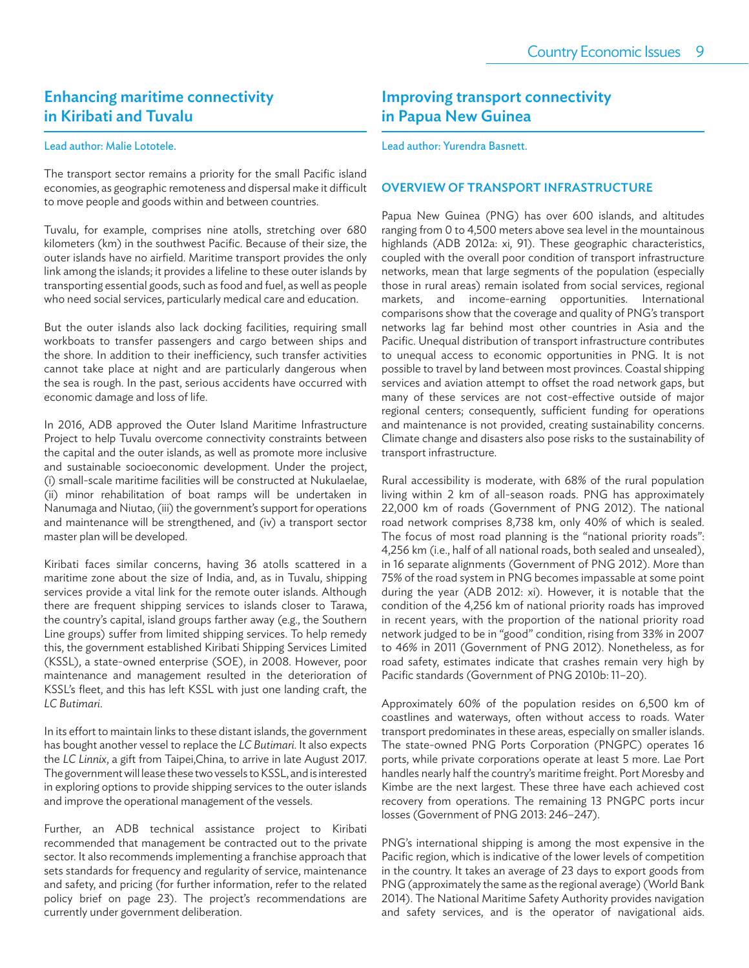### Enhancing maritime connectivity in Kiribati and Tuvalu

#### Lead author: Malie Lototele.

The transport sector remains a priority for the small Pacific island economies, as geographic remoteness and dispersal make it difficult to move people and goods within and between countries.

Tuvalu, for example, comprises nine atolls, stretching over 680 kilometers (km) in the southwest Pacific. Because of their size, the outer islands have no airfield. Maritime transport provides the only link among the islands; it provides a lifeline to these outer islands by transporting essential goods, such as food and fuel, as well as people who need social services, particularly medical care and education.

But the outer islands also lack docking facilities, requiring small workboats to transfer passengers and cargo between ships and the shore. In addition to their inefficiency, such transfer activities cannot take place at night and are particularly dangerous when the sea is rough. In the past, serious accidents have occurred with economic damage and loss of life.

In 2016, ADB approved the Outer Island Maritime Infrastructure Project to help Tuvalu overcome connectivity constraints between the capital and the outer islands, as well as promote more inclusive and sustainable socioeconomic development. Under the project, (i) small-scale maritime facilities will be constructed at Nukulaelae, (ii) minor rehabilitation of boat ramps will be undertaken in Nanumaga and Niutao, (iii) the government's support for operations and maintenance will be strengthened, and (iv) a transport sector master plan will be developed.

Kiribati faces similar concerns, having 36 atolls scattered in a maritime zone about the size of India, and, as in Tuvalu, shipping services provide a vital link for the remote outer islands. Although there are frequent shipping services to islands closer to Tarawa, the country's capital, island groups farther away (e.g., the Southern Line groups) suffer from limited shipping services. To help remedy this, the government established Kiribati Shipping Services Limited (KSSL), a state-owned enterprise (SOE), in 2008. However, poor maintenance and management resulted in the deterioration of KSSL's fleet, and this has left KSSL with just one landing craft, the *LC Butimari*.

In its effort to maintain links to these distant islands, the government has bought another vessel to replace the *LC Butimari*. It also expects the *LC Linnix*, a gift from Taipei,China, to arrive in late August 2017. The government will lease these two vessels to KSSL, and is interested in exploring options to provide shipping services to the outer islands and improve the operational management of the vessels.

Further, an ADB technical assistance project to Kiribati recommended that management be contracted out to the private sector. It also recommends implementing a franchise approach that sets standards for frequency and regularity of service, maintenance and safety, and pricing (for further information, refer to the related policy brief on page 23). The project's recommendations are currently under government deliberation.

### Improving transport connectivity in Papua New Guinea

Lead author: Yurendra Basnett.

#### OVERVIEW OF TRANSPORT INFRASTRUCTURE

Papua New Guinea (PNG) has over 600 islands, and altitudes ranging from 0 to 4,500 meters above sea level in the mountainous highlands (ADB 2012a: xi, 91). These geographic characteristics, coupled with the overall poor condition of transport infrastructure networks, mean that large segments of the population (especially those in rural areas) remain isolated from social services, regional markets, and income-earning opportunities. International comparisons show that the coverage and quality of PNG's transport networks lag far behind most other countries in Asia and the Pacific. Unequal distribution of transport infrastructure contributes to unequal access to economic opportunities in PNG. It is not possible to travel by land between most provinces. Coastal shipping services and aviation attempt to offset the road network gaps, but many of these services are not cost-effective outside of major regional centers; consequently, sufficient funding for operations and maintenance is not provided, creating sustainability concerns. Climate change and disasters also pose risks to the sustainability of transport infrastructure.

Rural accessibility is moderate, with 68% of the rural population living within 2 km of all-season roads. PNG has approximately 22,000 km of roads (Government of PNG 2012). The national road network comprises 8,738 km, only 40% of which is sealed. The focus of most road planning is the "national priority roads": 4,256 km (i.e., half of all national roads, both sealed and unsealed), in 16 separate alignments (Government of PNG 2012). More than 75% of the road system in PNG becomes impassable at some point during the year (ADB 2012: xi). However, it is notable that the condition of the 4,256 km of national priority roads has improved in recent years, with the proportion of the national priority road network judged to be in "good" condition, rising from 33% in 2007 to 46% in 2011 (Government of PNG 2012). Nonetheless, as for road safety, estimates indicate that crashes remain very high by Pacific standards (Government of PNG 2010b: 11-20).

Approximately 60% of the population resides on 6,500 km of coastlines and waterways, often without access to roads. Water transport predominates in these areas, especially on smaller islands. The state-owned PNG Ports Corporation (PNGPC) operates 16 ports, while private corporations operate at least 5 more. Lae Port handles nearly half the country's maritime freight. Port Moresby and Kimbe are the next largest. These three have each achieved cost recovery from operations. The remaining 13 PNGPC ports incur losses (Government of PNG 2013: 246–247).

PNG's international shipping is among the most expensive in the Pacific region, which is indicative of the lower levels of competition in the country. It takes an average of 23 days to export goods from PNG (approximately the same as the regional average) (World Bank 2014). The National Maritime Safety Authority provides navigation and safety services, and is the operator of navigational aids.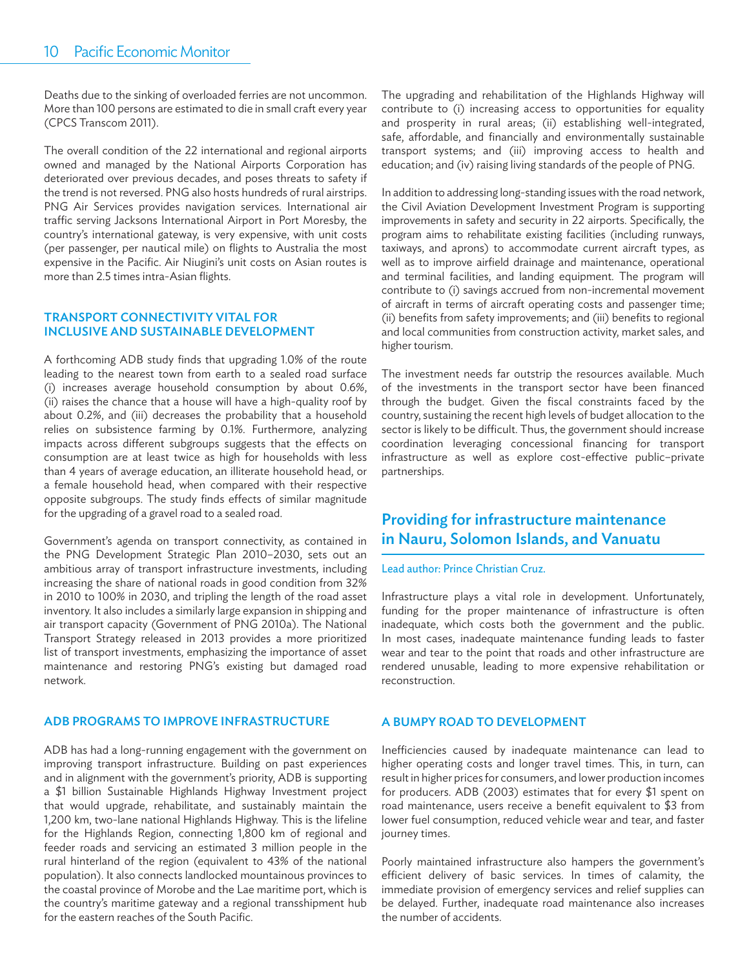Deaths due to the sinking of overloaded ferries are not uncommon. More than 100 persons are estimated to die in small craft every year (CPCS Transcom 2011).

The overall condition of the 22 international and regional airports owned and managed by the National Airports Corporation has deteriorated over previous decades, and poses threats to safety if the trend is not reversed. PNG also hosts hundreds of rural airstrips. PNG Air Services provides navigation services. International air traffic serving Jacksons International Airport in Port Moresby, the country's international gateway, is very expensive, with unit costs (per passenger, per nautical mile) on flights to Australia the most expensive in the Pacific. Air Niugini's unit costs on Asian routes is more than 2.5 times intra-Asian flights.

#### TRANSPORT CONNECTIVITY VITAL FOR INCLUSIVE AND SUSTAINABLE DEVELOPMENT

A forthcoming ADB study finds that upgrading 1.0% of the route leading to the nearest town from earth to a sealed road surface (i) increases average household consumption by about 0.6%, (ii) raises the chance that a house will have a high-quality roof by about 0.2%, and (iii) decreases the probability that a household relies on subsistence farming by 0.1%. Furthermore, analyzing impacts across different subgroups suggests that the effects on consumption are at least twice as high for households with less than 4 years of average education, an illiterate household head, or a female household head, when compared with their respective opposite subgroups. The study finds effects of similar magnitude for the upgrading of a gravel road to a sealed road.

Government's agenda on transport connectivity, as contained in the PNG Development Strategic Plan 2010–2030, sets out an ambitious array of transport infrastructure investments, including increasing the share of national roads in good condition from 32% in 2010 to 100% in 2030, and tripling the length of the road asset inventory. It also includes a similarly large expansion in shipping and air transport capacity (Government of PNG 2010a). The National Transport Strategy released in 2013 provides a more prioritized list of transport investments, emphasizing the importance of asset maintenance and restoring PNG's existing but damaged road network.

#### ADB PROGRAMS TO IMPROVE INFRASTRUCTURE

ADB has had a long-running engagement with the government on improving transport infrastructure. Building on past experiences and in alignment with the government's priority, ADB is supporting a \$1 billion Sustainable Highlands Highway Investment project that would upgrade, rehabilitate, and sustainably maintain the 1,200 km, two-lane national Highlands Highway. This is the lifeline for the Highlands Region, connecting 1,800 km of regional and feeder roads and servicing an estimated 3 million people in the rural hinterland of the region (equivalent to 43% of the national population). It also connects landlocked mountainous provinces to the coastal province of Morobe and the Lae maritime port, which is the country's maritime gateway and a regional transshipment hub for the eastern reaches of the South Pacific.

The upgrading and rehabilitation of the Highlands Highway will contribute to (i) increasing access to opportunities for equality and prosperity in rural areas; (ii) establishing well-integrated, safe, affordable, and financially and environmentally sustainable transport systems; and (iii) improving access to health and education; and (iv) raising living standards of the people of PNG.

In addition to addressing long-standing issues with the road network, the Civil Aviation Development Investment Program is supporting improvements in safety and security in 22 airports. Specifically, the program aims to rehabilitate existing facilities (including runways, taxiways, and aprons) to accommodate current aircraft types, as well as to improve airfield drainage and maintenance, operational and terminal facilities, and landing equipment. The program will contribute to (i) savings accrued from non-incremental movement of aircraft in terms of aircraft operating costs and passenger time; (ii) benefits from safety improvements; and (iii) benefits to regional and local communities from construction activity, market sales, and higher tourism.

The investment needs far outstrip the resources available. Much of the investments in the transport sector have been financed through the budget. Given the fiscal constraints faced by the country, sustaining the recent high levels of budget allocation to the sector is likely to be difficult. Thus, the government should increase coordination leveraging concessional financing for transport infrastructure as well as explore cost-effective public-private partnerships.

### Providing for infrastructure maintenance in Nauru, Solomon Islands, and Vanuatu

#### Lead author: Prince Christian Cruz.

Infrastructure plays a vital role in development. Unfortunately, funding for the proper maintenance of infrastructure is often inadequate, which costs both the government and the public. In most cases, inadequate maintenance funding leads to faster wear and tear to the point that roads and other infrastructure are rendered unusable, leading to more expensive rehabilitation or reconstruction.

#### A BUMPY ROAD TO DEVELOPMENT

Inefficiencies caused by inadequate maintenance can lead to higher operating costs and longer travel times. This, in turn, can result in higher prices for consumers, and lower production incomes for producers. ADB (2003) estimates that for every \$1 spent on road maintenance, users receive a benefit equivalent to \$3 from lower fuel consumption, reduced vehicle wear and tear, and faster journey times.

Poorly maintained infrastructure also hampers the government's efficient delivery of basic services. In times of calamity, the immediate provision of emergency services and relief supplies can be delayed. Further, inadequate road maintenance also increases the number of accidents.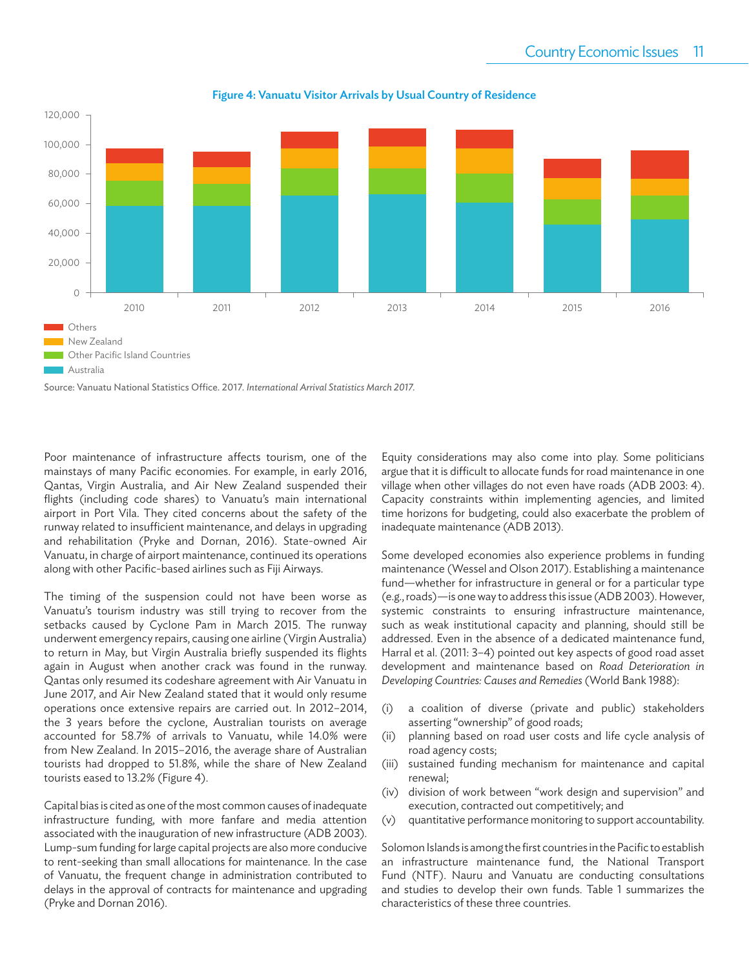

Figure 4: Vanuatu Visitor Arrivals by Usual Country of Residence

Source: Vanuatu National Statistics Office. 2017. *International Arrival Statistics March 2017.*

Poor maintenance of infrastructure affects tourism, one of the mainstays of many Pacific economies. For example, in early 2016, Qantas, Virgin Australia, and Air New Zealand suspended their flights (including code shares) to Vanuatu's main international airport in Port Vila. They cited concerns about the safety of the runway related to insufficient maintenance, and delays in upgrading and rehabilitation (Pryke and Dornan, 2016). State-owned Air Vanuatu, in charge of airport maintenance, continued its operations along with other Pacific-based airlines such as Fiji Airways.

The timing of the suspension could not have been worse as Vanuatu's tourism industry was still trying to recover from the setbacks caused by Cyclone Pam in March 2015. The runway underwent emergency repairs, causing one airline (Virgin Australia) to return in May, but Virgin Australia briefly suspended its flights again in August when another crack was found in the runway. Qantas only resumed its codeshare agreement with Air Vanuatu in June 2017, and Air New Zealand stated that it would only resume operations once extensive repairs are carried out. In 2012–2014, the 3 years before the cyclone, Australian tourists on average accounted for 58.7% of arrivals to Vanuatu, while 14.0% were from New Zealand. In 2015–2016, the average share of Australian tourists had dropped to 51.8%, while the share of New Zealand tourists eased to 13.2% (Figure 4).

Capital bias is cited as one of the most common causes of inadequate infrastructure funding, with more fanfare and media attention associated with the inauguration of new infrastructure (ADB 2003). Lump-sum funding for large capital projects are also more conducive to rent-seeking than small allocations for maintenance. In the case of Vanuatu, the frequent change in administration contributed to delays in the approval of contracts for maintenance and upgrading (Pryke and Dornan 2016).

Equity considerations may also come into play. Some politicians argue that it is difficult to allocate funds for road maintenance in one village when other villages do not even have roads (ADB 2003: 4). Capacity constraints within implementing agencies, and limited time horizons for budgeting, could also exacerbate the problem of inadequate maintenance (ADB 2013).

Some developed economies also experience problems in funding maintenance (Wessel and Olson 2017). Establishing a maintenance fund—whether for infrastructure in general or for a particular type (e.g., roads)—is one way to address this issue (ADB 2003). However, systemic constraints to ensuring infrastructure maintenance, such as weak institutional capacity and planning, should still be addressed. Even in the absence of a dedicated maintenance fund, Harral et al. (2011: 3–4) pointed out key aspects of good road asset development and maintenance based on *Road Deterioration in Developing Countries: Causes and Remedies* (World Bank 1988):

- (i) a coalition of diverse (private and public) stakeholders asserting "ownership" of good roads;
- (ii) planning based on road user costs and life cycle analysis of road agency costs;
- (iii) sustained funding mechanism for maintenance and capital renewal;
- (iv) division of work between "work design and supervision" and execution, contracted out competitively; and
- (v) quantitative performance monitoring to support accountability.

Solomon Islands is among the first countries in the Pacific to establish an infrastructure maintenance fund, the National Transport Fund (NTF). Nauru and Vanuatu are conducting consultations and studies to develop their own funds. Table 1 summarizes the characteristics of these three countries.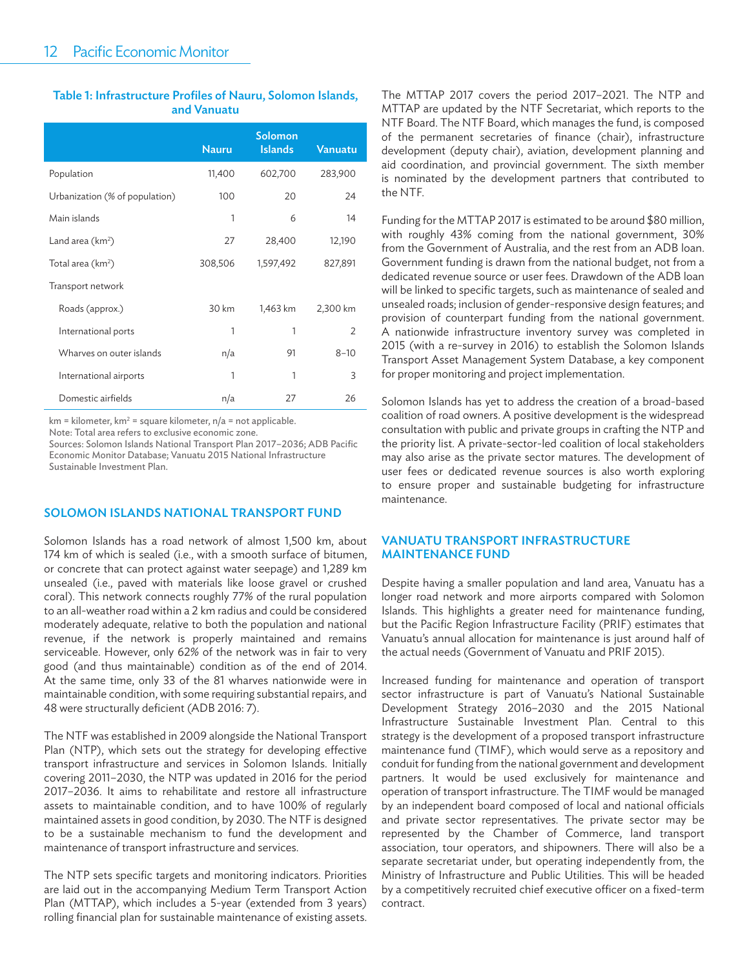#### Table 1: Infrastructure Profiles of Nauru, Solomon Islands, and Vanuatu

|                                | <b>Nauru</b> | Solomon<br><b>Islands</b> | <b>Vanuatu</b> |
|--------------------------------|--------------|---------------------------|----------------|
| Population                     | 11,400       | 602,700                   | 283,900        |
| Urbanization (% of population) | 100          | 20                        | 24             |
| Main islands                   | 1            | 6                         | 14             |
| Land area (km <sup>2</sup> )   | 27           | 28,400                    | 12,190         |
| Total area $(km^2)$            | 308,506      | 1,597,492                 | 827,891        |
| Transport network              |              |                           |                |
| Roads (approx.)                | 30 km        | 1,463 km                  | 2,300 km       |
| International ports            | 1            | 1                         | $\overline{2}$ |
| Wharves on outer islands       | n/a          | 91                        | $8 - 10$       |
| International airports         | 1            | 1                         | 3              |
| Domestic airfields             | n/a          | 27                        | 26             |

 $km = kilometer, km<sup>2</sup> = square kilometer, n/a = not applicable.$ 

Note: Total area refers to exclusive economic zone.

Sources: Solomon Islands National Transport Plan 2017–2036; ADB Pacific Economic Monitor Database; Vanuatu 2015 National Infrastructure Sustainable Investment Plan.

#### SOLOMON ISLANDS NATIONAL TRANSPORT FUND

Solomon Islands has a road network of almost 1,500 km, about 174 km of which is sealed (i.e., with a smooth surface of bitumen, or concrete that can protect against water seepage) and 1,289 km unsealed (i.e., paved with materials like loose gravel or crushed coral). This network connects roughly 77% of the rural population to an all-weather road within a 2 km radius and could be considered moderately adequate, relative to both the population and national revenue, if the network is properly maintained and remains serviceable. However, only 62% of the network was in fair to very good (and thus maintainable) condition as of the end of 2014. At the same time, only 33 of the 81 wharves nationwide were in maintainable condition, with some requiring substantial repairs, and 48 were structurally deficient (ADB 2016: 7).

The NTF was established in 2009 alongside the National Transport Plan (NTP), which sets out the strategy for developing effective transport infrastructure and services in Solomon Islands. Initially covering 2011–2030, the NTP was updated in 2016 for the period 2017–2036. It aims to rehabilitate and restore all infrastructure assets to maintainable condition, and to have 100% of regularly maintained assets in good condition, by 2030. The NTF is designed to be a sustainable mechanism to fund the development and maintenance of transport infrastructure and services.

The NTP sets specific targets and monitoring indicators. Priorities are laid out in the accompanying Medium Term Transport Action Plan (MTTAP), which includes a 5-year (extended from 3 years) rolling financial plan for sustainable maintenance of existing assets.

The MTTAP 2017 covers the period 2017–2021. The NTP and MTTAP are updated by the NTF Secretariat, which reports to the NTF Board. The NTF Board, which manages the fund, is composed of the permanent secretaries of finance (chair), infrastructure development (deputy chair), aviation, development planning and aid coordination, and provincial government. The sixth member is nominated by the development partners that contributed to the NTF.

Funding for the MTTAP 2017 is estimated to be around \$80 million, with roughly 43% coming from the national government, 30% from the Government of Australia, and the rest from an ADB loan. Government funding is drawn from the national budget, not from a dedicated revenue source or user fees. Drawdown of the ADB loan will be linked to specific targets, such as maintenance of sealed and unsealed roads; inclusion of gender-responsive design features; and provision of counterpart funding from the national government. A nationwide infrastructure inventory survey was completed in 2015 (with a re-survey in 2016) to establish the Solomon Islands Transport Asset Management System Database, a key component for proper monitoring and project implementation.

Solomon Islands has yet to address the creation of a broad-based coalition of road owners. A positive development is the widespread consultation with public and private groups in crafting the NTP and the priority list. A private-sector-led coalition of local stakeholders may also arise as the private sector matures. The development of user fees or dedicated revenue sources is also worth exploring to ensure proper and sustainable budgeting for infrastructure maintenance.

#### VANUATU TRANSPORT INFRASTRUCTURE MAINTENANCE FUND

Despite having a smaller population and land area, Vanuatu has a longer road network and more airports compared with Solomon Islands. This highlights a greater need for maintenance funding, but the Pacific Region Infrastructure Facility (PRIF) estimates that Vanuatu's annual allocation for maintenance is just around half of the actual needs (Government of Vanuatu and PRIF 2015).

Increased funding for maintenance and operation of transport sector infrastructure is part of Vanuatu's National Sustainable Development Strategy 2016–2030 and the 2015 National Infrastructure Sustainable Investment Plan. Central to this strategy is the development of a proposed transport infrastructure maintenance fund (TIMF), which would serve as a repository and conduit for funding from the national government and development partners. It would be used exclusively for maintenance and operation of transport infrastructure. The TIMF would be managed by an independent board composed of local and national officials and private sector representatives. The private sector may be represented by the Chamber of Commerce, land transport association, tour operators, and shipowners. There will also be a separate secretariat under, but operating independently from, the Ministry of Infrastructure and Public Utilities. This will be headed by a competitively recruited chief executive officer on a fixed-term contract.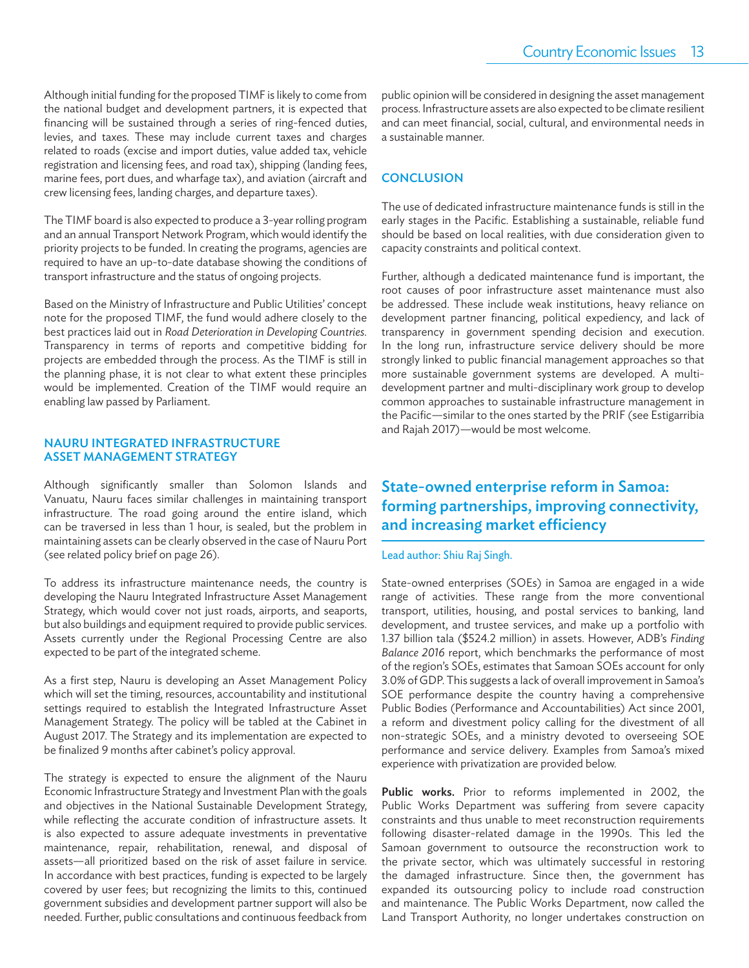Although initial funding for the proposed TIMF is likely to come from the national budget and development partners, it is expected that financing will be sustained through a series of ring-fenced duties, levies, and taxes. These may include current taxes and charges related to roads (excise and import duties, value added tax, vehicle registration and licensing fees, and road tax), shipping (landing fees, marine fees, port dues, and wharfage tax), and aviation (aircraft and crew licensing fees, landing charges, and departure taxes).

The TIMF board is also expected to produce a 3-year rolling program and an annual Transport Network Program, which would identify the priority projects to be funded. In creating the programs, agencies are required to have an up-to-date database showing the conditions of transport infrastructure and the status of ongoing projects.

Based on the Ministry of Infrastructure and Public Utilities' concept note for the proposed TIMF, the fund would adhere closely to the best practices laid out in *Road Deterioration in Developing Countries*. Transparency in terms of reports and competitive bidding for projects are embedded through the process. As the TIMF is still in the planning phase, it is not clear to what extent these principles would be implemented. Creation of the TIMF would require an enabling law passed by Parliament.

#### NAURU INTEGRATED INFRASTRUCTURE ASSET MANAGEMENT STRATEGY

Although significantly smaller than Solomon Islands and Vanuatu, Nauru faces similar challenges in maintaining transport infrastructure. The road going around the entire island, which can be traversed in less than 1 hour, is sealed, but the problem in maintaining assets can be clearly observed in the case of Nauru Port (see related policy brief on page 26).

To address its infrastructure maintenance needs, the country is developing the Nauru Integrated Infrastructure Asset Management Strategy, which would cover not just roads, airports, and seaports, but also buildings and equipment required to provide public services. Assets currently under the Regional Processing Centre are also expected to be part of the integrated scheme.

As a first step, Nauru is developing an Asset Management Policy which will set the timing, resources, accountability and institutional settings required to establish the Integrated Infrastructure Asset Management Strategy. The policy will be tabled at the Cabinet in August 2017. The Strategy and its implementation are expected to be finalized 9 months after cabinet's policy approval.

The strategy is expected to ensure the alignment of the Nauru Economic Infrastructure Strategy and Investment Plan with the goals and objectives in the National Sustainable Development Strategy, while reflecting the accurate condition of infrastructure assets. It is also expected to assure adequate investments in preventative maintenance, repair, rehabilitation, renewal, and disposal of assets—all prioritized based on the risk of asset failure in service. In accordance with best practices, funding is expected to be largely covered by user fees; but recognizing the limits to this, continued government subsidies and development partner support will also be needed. Further, public consultations and continuous feedback from

public opinion will be considered in designing the asset management process. Infrastructure assets are also expected to be climate resilient and can meet financial, social, cultural, and environmental needs in a sustainable manner.

#### **CONCLUSION**

The use of dedicated infrastructure maintenance funds is still in the early stages in the Pacific. Establishing a sustainable, reliable fund should be based on local realities, with due consideration given to capacity constraints and political context.

Further, although a dedicated maintenance fund is important, the root causes of poor infrastructure asset maintenance must also be addressed. These include weak institutions, heavy reliance on development partner financing, political expediency, and lack of transparency in government spending decision and execution. In the long run, infrastructure service delivery should be more strongly linked to public financial management approaches so that more sustainable government systems are developed. A multidevelopment partner and multi-disciplinary work group to develop common approaches to sustainable infrastructure management in the Pacific-similar to the ones started by the PRIF (see Estigarribia and Rajah 2017)—would be most welcome.

# State-owned enterprise reform in Samoa: forming partnerships, improving connectivity, and increasing market efficiency

#### Lead author: Shiu Raj Singh.

State-owned enterprises (SOEs) in Samoa are engaged in a wide range of activities. These range from the more conventional transport, utilities, housing, and postal services to banking, land development, and trustee services, and make up a portfolio with 1.37 billion tala (\$524.2 million) in assets. However, ADB's *Finding Balance 2016* report, which benchmarks the performance of most of the region's SOEs, estimates that Samoan SOEs account for only 3.0% of GDP. This suggests a lack of overall improvement in Samoa's SOE performance despite the country having a comprehensive Public Bodies (Performance and Accountabilities) Act since 2001, a reform and divestment policy calling for the divestment of all non-strategic SOEs, and a ministry devoted to overseeing SOE performance and service delivery. Examples from Samoa's mixed experience with privatization are provided below.

Public works. Prior to reforms implemented in 2002, the Public Works Department was suffering from severe capacity constraints and thus unable to meet reconstruction requirements following disaster-related damage in the 1990s. This led the Samoan government to outsource the reconstruction work to the private sector, which was ultimately successful in restoring the damaged infrastructure. Since then, the government has expanded its outsourcing policy to include road construction and maintenance. The Public Works Department, now called the Land Transport Authority, no longer undertakes construction on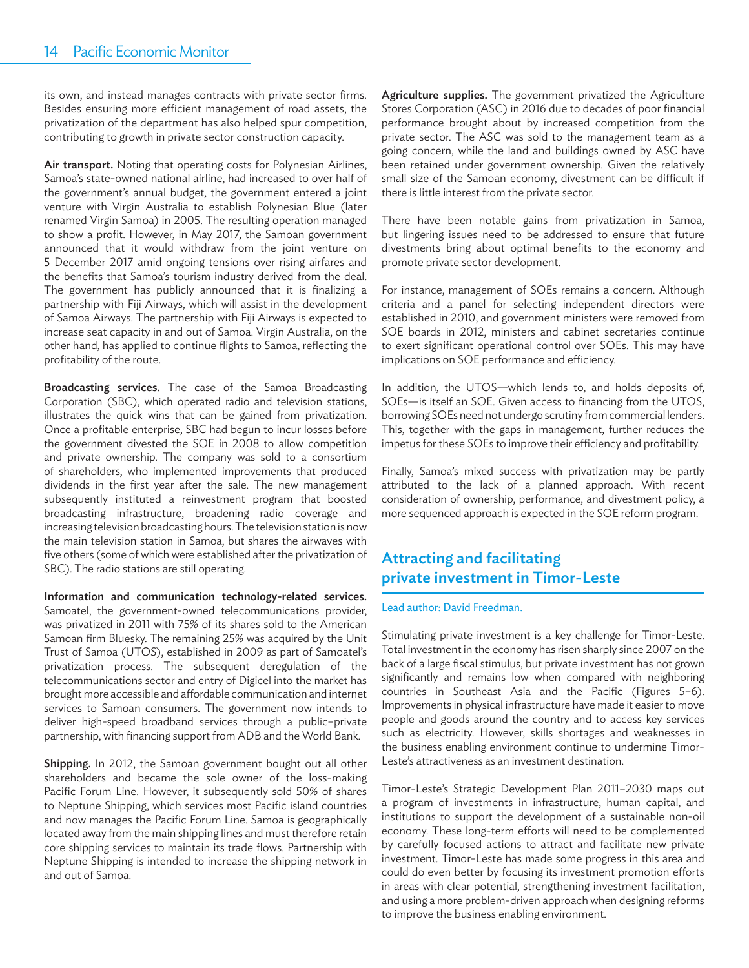its own, and instead manages contracts with private sector firms. Besides ensuring more efficient management of road assets, the privatization of the department has also helped spur competition, contributing to growth in private sector construction capacity.

Air transport. Noting that operating costs for Polynesian Airlines, Samoa's state-owned national airline, had increased to over half of the government's annual budget, the government entered a joint venture with Virgin Australia to establish Polynesian Blue (later renamed Virgin Samoa) in 2005. The resulting operation managed to show a profit. However, in May 2017, the Samoan government announced that it would withdraw from the joint venture on 5 December 2017 amid ongoing tensions over rising airfares and the benefits that Samoa's tourism industry derived from the deal. The government has publicly announced that it is finalizing a partnership with Fiji Airways, which will assist in the development of Samoa Airways. The partnership with Fiji Airways is expected to increase seat capacity in and out of Samoa. Virgin Australia, on the other hand, has applied to continue flights to Samoa, reflecting the profitability of the route.

Broadcasting services. The case of the Samoa Broadcasting Corporation (SBC), which operated radio and television stations, illustrates the quick wins that can be gained from privatization. Once a profitable enterprise, SBC had begun to incur losses before the government divested the SOE in 2008 to allow competition and private ownership. The company was sold to a consortium of shareholders, who implemented improvements that produced dividends in the first year after the sale. The new management subsequently instituted a reinvestment program that boosted broadcasting infrastructure, broadening radio coverage and increasing television broadcasting hours. The television station is now the main television station in Samoa, but shares the airwaves with five others (some of which were established after the privatization of SBC). The radio stations are still operating.

Information and communication technology-related services. Samoatel, the government-owned telecommunications provider, was privatized in 2011 with 75% of its shares sold to the American Samoan firm Bluesky. The remaining 25% was acquired by the Unit Trust of Samoa (UTOS), established in 2009 as part of Samoatel's privatization process. The subsequent deregulation of the telecommunications sector and entry of Digicel into the market has brought more accessible and affordable communication and internet services to Samoan consumers. The government now intends to deliver high-speed broadband services through a public–private partnership, with financing support from ADB and the World Bank.

Shipping. In 2012, the Samoan government bought out all other shareholders and became the sole owner of the loss-making Pacific Forum Line. However, it subsequently sold 50% of shares to Neptune Shipping, which services most Pacific island countries and now manages the Pacific Forum Line. Samoa is geographically located away from the main shipping lines and must therefore retain core shipping services to maintain its trade flows. Partnership with Neptune Shipping is intended to increase the shipping network in and out of Samoa.

Agriculture supplies. The government privatized the Agriculture Stores Corporation (ASC) in 2016 due to decades of poor financial performance brought about by increased competition from the private sector. The ASC was sold to the management team as a going concern, while the land and buildings owned by ASC have been retained under government ownership. Given the relatively small size of the Samoan economy, divestment can be difficult if there is little interest from the private sector.

There have been notable gains from privatization in Samoa, but lingering issues need to be addressed to ensure that future divestments bring about optimal benefits to the economy and promote private sector development.

For instance, management of SOEs remains a concern. Although criteria and a panel for selecting independent directors were established in 2010, and government ministers were removed from SOE boards in 2012, ministers and cabinet secretaries continue to exert significant operational control over SOEs. This may have implications on SOE performance and efficiency.

In addition, the UTOS—which lends to, and holds deposits of, SOEs-is itself an SOE. Given access to financing from the UTOS, borrowing SOEs need not undergo scrutiny from commercial lenders. This, together with the gaps in management, further reduces the impetus for these SOEs to improve their efficiency and profitability.

Finally, Samoa's mixed success with privatization may be partly attributed to the lack of a planned approach. With recent consideration of ownership, performance, and divestment policy, a more sequenced approach is expected in the SOE reform program.

# Attracting and facilitating private investment in Timor-Leste

#### Lead author: David Freedman.

Stimulating private investment is a key challenge for Timor-Leste. Total investment in the economy has risen sharply since 2007 on the back of a large fiscal stimulus, but private investment has not grown significantly and remains low when compared with neighboring countries in Southeast Asia and the Pacific (Figures 5-6). Improvements in physical infrastructure have made it easier to move people and goods around the country and to access key services such as electricity. However, skills shortages and weaknesses in the business enabling environment continue to undermine Timor-Leste's attractiveness as an investment destination.

Timor-Leste's Strategic Development Plan 2011–2030 maps out a program of investments in infrastructure, human capital, and institutions to support the development of a sustainable non-oil economy. These long-term efforts will need to be complemented by carefully focused actions to attract and facilitate new private investment. Timor-Leste has made some progress in this area and could do even better by focusing its investment promotion efforts in areas with clear potential, strengthening investment facilitation, and using a more problem-driven approach when designing reforms to improve the business enabling environment.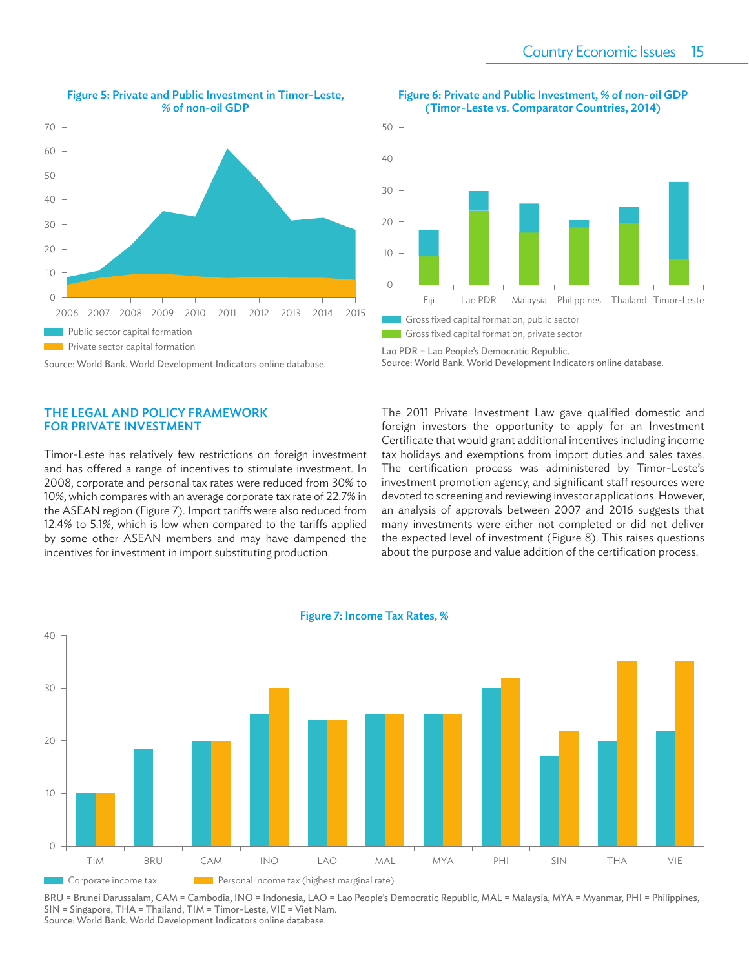

#### Figure 5: Private and Public Investment in Timor-Leste, % of non-oil GDP

Source: World Bank. World Development Indicators online database.

#### THE LEGAL AND POLICY FRAMEWORK FOR PRIVATE INVESTMENT

Timor-Leste has relatively few restrictions on foreign investment and has offered a range of incentives to stimulate investment. In 2008, corporate and personal tax rates were reduced from 30% to 10%, which compares with an average corporate tax rate of 22.7% in the ASEAN region (Figure 7). Import tariffs were also reduced from 12.4% to 5.1%, which is low when compared to the tariffs applied by some other ASEAN members and may have dampened the incentives for investment in import substituting production.



Figure 6: Private and Public Investment, % of non-oil GDP (Timor-Leste vs. Comparator Countries, 2014)



The 2011 Private Investment Law gave qualified domestic and foreign investors the opportunity to apply for an Investment Certificate that would grant additional incentives including income tax holidays and exemptions from import duties and sales taxes. The certification process was administered by Timor-Leste's investment promotion agency, and significant staff resources were devoted to screening and reviewing investor applications. However, an analysis of approvals between 2007 and 2016 suggests that many investments were either not completed or did not deliver the expected level of investment (Figure 8). This raises questions about the purpose and value addition of the certification process.



BRU = Brunei Darussalam, CAM = Cambodia, INO = Indonesia, LAO = Lao People's Democratic Republic, MAL = Malaysia, MYA = Myanmar, PHI = Philippines, SIN = Singapore, THA = Thailand, TIM = Timor-Leste, VIE = Viet Nam.

Source: World Bank. World Development Indicators online database.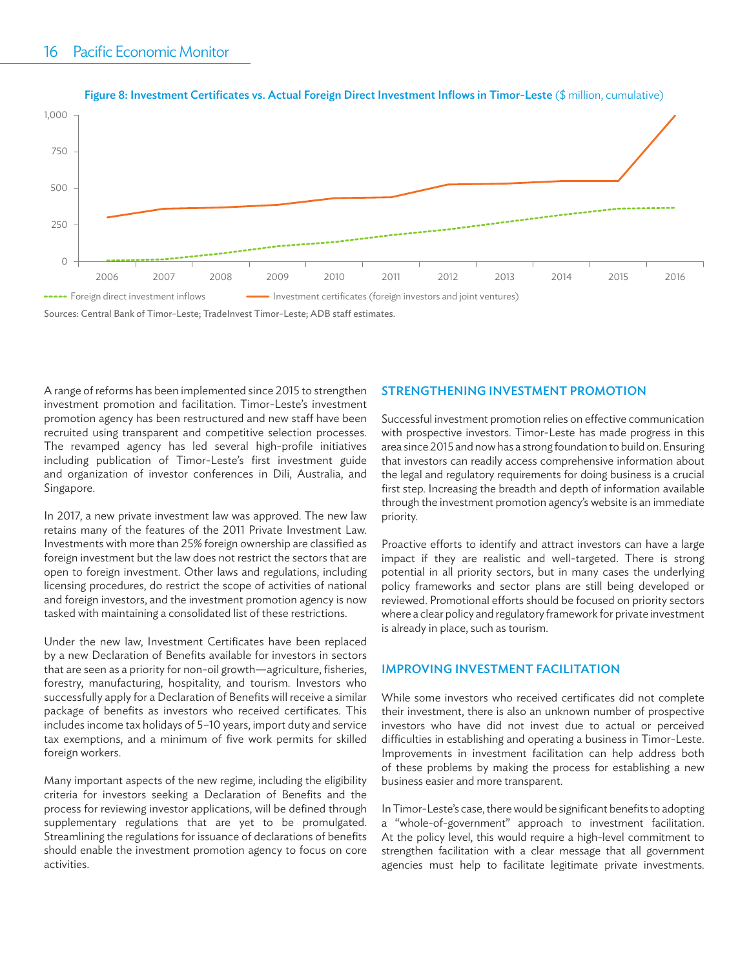

#### Figure 8: Investment Certificates vs. Actual Foreign Direct Investment Inflows in Timor-Leste (\$ million, cumulative)

A range of reforms has been implemented since 2015 to strengthen investment promotion and facilitation. Timor-Leste's investment promotion agency has been restructured and new staff have been recruited using transparent and competitive selection processes. The revamped agency has led several high-profile initiatives including publication of Timor-Leste's first investment guide and organization of investor conferences in Dili, Australia, and Singapore.

In 2017, a new private investment law was approved. The new law retains many of the features of the 2011 Private Investment Law. Investments with more than 25% foreign ownership are classified as foreign investment but the law does not restrict the sectors that are open to foreign investment. Other laws and regulations, including licensing procedures, do restrict the scope of activities of national and foreign investors, and the investment promotion agency is now tasked with maintaining a consolidated list of these restrictions.

Under the new law, Investment Certificates have been replaced by a new Declaration of Benefits available for investors in sectors that are seen as a priority for non-oil growth—agriculture, fisheries, forestry, manufacturing, hospitality, and tourism. Investors who successfully apply for a Declaration of Benefits will receive a similar package of benefits as investors who received certificates. This includes income tax holidays of 5–10 years, import duty and service tax exemptions, and a minimum of five work permits for skilled foreign workers.

Many important aspects of the new regime, including the eligibility criteria for investors seeking a Declaration of Benefits and the process for reviewing investor applications, will be defined through supplementary regulations that are yet to be promulgated. Streamlining the regulations for issuance of declarations of benefits should enable the investment promotion agency to focus on core activities.

#### STRENGTHENING INVESTMENT PROMOTION

Successful investment promotion relies on effective communication with prospective investors. Timor-Leste has made progress in this area since 2015 and now has a strong foundation to build on. Ensuring that investors can readily access comprehensive information about the legal and regulatory requirements for doing business is a crucial first step. Increasing the breadth and depth of information available through the investment promotion agency's website is an immediate priority.

Proactive efforts to identify and attract investors can have a large impact if they are realistic and well-targeted. There is strong potential in all priority sectors, but in many cases the underlying policy frameworks and sector plans are still being developed or reviewed. Promotional efforts should be focused on priority sectors where a clear policy and regulatory framework for private investment is already in place, such as tourism.

#### IMPROVING INVESTMENT FACILITATION

While some investors who received certificates did not complete their investment, there is also an unknown number of prospective investors who have did not invest due to actual or perceived difficulties in establishing and operating a business in Timor-Leste. Improvements in investment facilitation can help address both of these problems by making the process for establishing a new business easier and more transparent.

In Timor-Leste's case, there would be significant benefits to adopting a "whole-of-government" approach to investment facilitation. At the policy level, this would require a high-level commitment to strengthen facilitation with a clear message that all government agencies must help to facilitate legitimate private investments.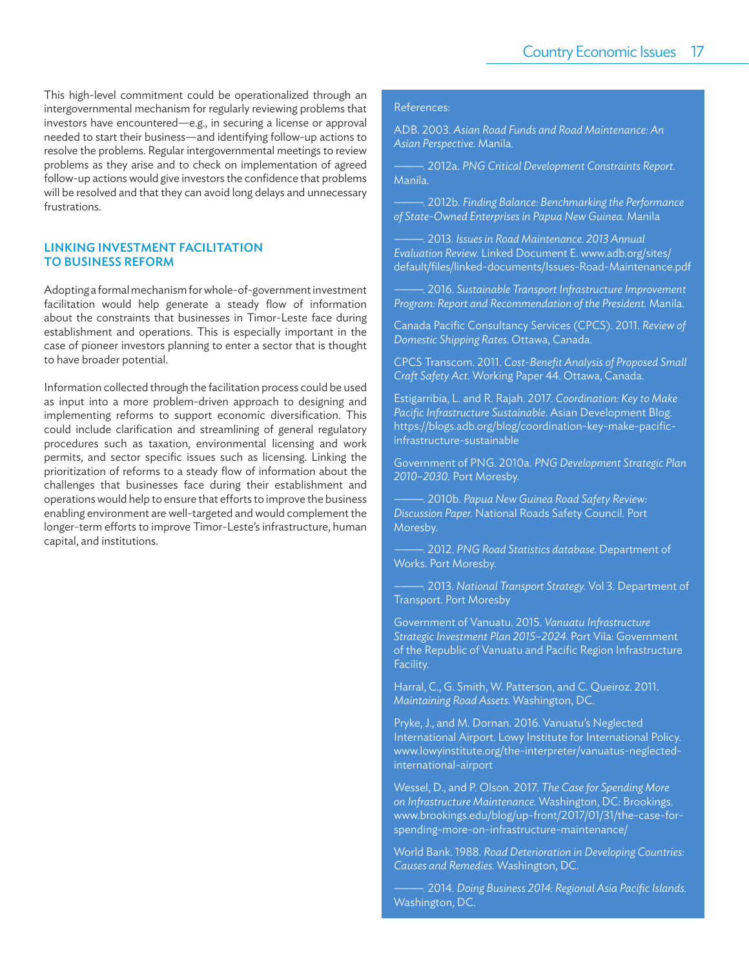This high-level commitment could be operationalized through an intergovernmental mechanism for regularly reviewing problems that investors have encountered—e.g., in securing a license or approval needed to start their business—and identifying follow-up actions to resolve the problems. Regular intergovernmental meetings to review problems as they arise and to check on implementation of agreed follow-up actions would give investors the confidence that problems will be resolved and that they can avoid long delays and unnecessary frustrations.

#### LINKING INVESTMENT FACILITATION TO BUSINESS REFORM

Adopting a formal mechanism for whole-of-government investment facilitation would help generate a steady flow of information about the constraints that businesses in Timor-Leste face during establishment and operations. This is especially important in the case of pioneer investors planning to enter a sector that is thought to have broader potential.

Information collected through the facilitation process could be used as input into a more problem-driven approach to designing and implementing reforms to support economic diversification. This could include clarification and streamlining of general regulatory procedures such as taxation, environmental licensing and work permits, and sector specific issues such as licensing. Linking the prioritization of reforms to a steady flow of information about the challenges that businesses face during their establishment and operations would help to ensure that efforts to improve the business enabling environment are well-targeted and would complement the longer-term efforts to improve Timor-Leste's infrastructure, human capital, and institutions.

#### References:

ADB. 2003. *Asian Road Funds and Road Maintenance: An Asian Perspective.* Manila.

———. 2012a. *PNG Critical Development Constraints Report.* Manila.

———. 2012b. *Finding Balance: Benchmarking the Performance of State-Owned Enterprises in Papua New Guinea.* Manila

———. 2013. *Issues in Road Maintenance. 2013 Annual Evaluation Review.* Linked Document E. www.adb.org/sites/ default/files/linked-documents/Issues-Road-Maintenance.pdf

———. 2016. *Sustainable Transport Infrastructure Improvement Program: Report and Recommendation of the President.* Manila.

**Canada Pacific Consultancy Services (CPCS). 2011. Review of** *Domestic Shipping Rates.* Ottawa, Canada.

CPCS Transcom. 2011. *Cost-Benefi t Analysis of Proposed Small Craft Safety Act.* Working Paper 44. Ottawa, Canada.

Estigarribia, L. and R. Rajah. 2017. *Coordination: Key to Make*  Pacific Infrastructure Sustainable. Asian Development Blog. https://blogs.adb.org/blog/coordination-key-make-pacificinfrastructure-sustainable

Government of PNG. 2010a. *PNG Development Strategic Plan 2010–2030.* Port Moresby.

———. 2010b. *Papua New Guinea Road Safety Review: Discussion Paper.* National Roads Safety Council. Port Moresby.

———. 2012. *PNG Road Statistics database.* Department of Works. Port Moresby.

———. 2013. *National Transport Strategy.* Vol 3. Department of Transport. Port Moresby

Government of Vanuatu. 2015. *Vanuatu Infrastructure Strategic Investment Plan 2015–2024.* Port Vila: Government of the Republic of Vanuatu and Pacific Region Infrastructure Facility.

Harral, C., G. Smith, W. Patterson, and C. Queiroz. 2011. *Maintaining Road Assets.* Washington, DC.

Pryke, J., and M. Dornan. 2016. Vanuatu's Neglected International Airport. Lowy Institute for International Policy. www.lowyinstitute.org/the-interpreter/vanuatus-neglectedinternational-airport

Wessel, D., and P. Olson. 2017. *The Case for Spending More on Infrastructure Maintenance.* Washington, DC: Brookings. www.brookings.edu/blog/up-front/2017/01/31/the-case-forspending-more-on-infrastructure-maintenance/

World Bank. 1988. *Road Deterioration in Developing Countries: Causes and Remedies.* Washington, DC.

 $-$ . 2014. *Doing Business 2014: Regional Asia Pacific Islands.* Washington, DC.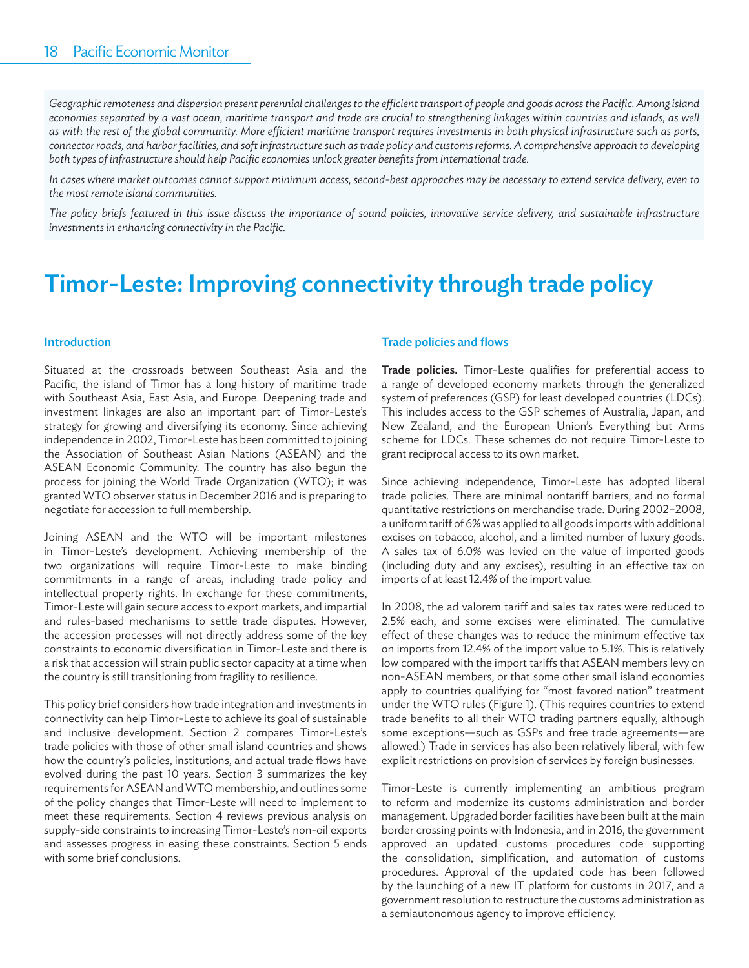Geographic remoteness and dispersion present perennial challenges to the efficient transport of people and goods across the Pacific. Among island economies separated by a vast ocean, maritime transport and trade are crucial to strengthening linkages within countries and islands, as well as with the rest of the global community. More efficient maritime transport requires investments in both physical infrastructure such as ports, *connector roads, and harbor facilities, and soft infrastructure such as trade policy and customs reforms. A comprehensive approach to developing both types of infrastructure should help Pacific economies unlock greater benefits from international trade.* 

*In cases where market outcomes cannot support minimum access, second-best approaches may be necessary to extend service delivery, even to the most remote island communities.*

*The policy briefs featured in this issue discuss the importance of sound policies, innovative service delivery, and sustainable infrastructure*  investments in enhancing connectivity in the Pacific.

# Timor-Leste: Improving connectivity through trade policy

#### Introduction

Situated at the crossroads between Southeast Asia and the Pacific, the island of Timor has a long history of maritime trade with Southeast Asia, East Asia, and Europe. Deepening trade and investment linkages are also an important part of Timor-Leste's strategy for growing and diversifying its economy. Since achieving independence in 2002, Timor-Leste has been committed to joining the Association of Southeast Asian Nations (ASEAN) and the ASEAN Economic Community. The country has also begun the process for joining the World Trade Organization (WTO); it was granted WTO observer status in December 2016 and is preparing to negotiate for accession to full membership.

Joining ASEAN and the WTO will be important milestones in Timor-Leste's development. Achieving membership of the two organizations will require Timor-Leste to make binding commitments in a range of areas, including trade policy and intellectual property rights. In exchange for these commitments, Timor-Leste will gain secure access to export markets, and impartial and rules-based mechanisms to settle trade disputes. However, the accession processes will not directly address some of the key constraints to economic diversification in Timor-Leste and there is a risk that accession will strain public sector capacity at a time when the country is still transitioning from fragility to resilience.

This policy brief considers how trade integration and investments in connectivity can help Timor-Leste to achieve its goal of sustainable and inclusive development. Section 2 compares Timor-Leste's trade policies with those of other small island countries and shows how the country's policies, institutions, and actual trade flows have evolved during the past 10 years. Section 3 summarizes the key requirements for ASEAN and WTO membership, and outlines some of the policy changes that Timor-Leste will need to implement to meet these requirements. Section 4 reviews previous analysis on supply-side constraints to increasing Timor-Leste's non-oil exports and assesses progress in easing these constraints. Section 5 ends with some brief conclusions.

#### Trade policies and flows

Trade policies. Timor-Leste qualifies for preferential access to a range of developed economy markets through the generalized system of preferences (GSP) for least developed countries (LDCs). This includes access to the GSP schemes of Australia, Japan, and New Zealand, and the European Union's Everything but Arms scheme for LDCs. These schemes do not require Timor-Leste to grant reciprocal access to its own market.

Since achieving independence, Timor-Leste has adopted liberal trade policies. There are minimal nontariff barriers, and no formal quantitative restrictions on merchandise trade. During 2002–2008, a uniform tariff of 6% was applied to all goods imports with additional excises on tobacco, alcohol, and a limited number of luxury goods. A sales tax of 6.0% was levied on the value of imported goods (including duty and any excises), resulting in an effective tax on imports of at least 12.4% of the import value.

In 2008, the ad valorem tariff and sales tax rates were reduced to 2.5% each, and some excises were eliminated. The cumulative effect of these changes was to reduce the minimum effective tax on imports from 12.4% of the import value to 5.1%. This is relatively low compared with the import tariffs that ASEAN members levy on non-ASEAN members, or that some other small island economies apply to countries qualifying for "most favored nation" treatment under the WTO rules (Figure 1). (This requires countries to extend trade benefits to all their WTO trading partners equally, although some exceptions—such as GSPs and free trade agreements—are allowed.) Trade in services has also been relatively liberal, with few explicit restrictions on provision of services by foreign businesses.

Timor-Leste is currently implementing an ambitious program to reform and modernize its customs administration and border management. Upgraded border facilities have been built at the main border crossing points with Indonesia, and in 2016, the government approved an updated customs procedures code supporting the consolidation, simplification, and automation of customs procedures. Approval of the updated code has been followed by the launching of a new IT platform for customs in 2017, and a government resolution to restructure the customs administration as a semiautonomous agency to improve efficiency.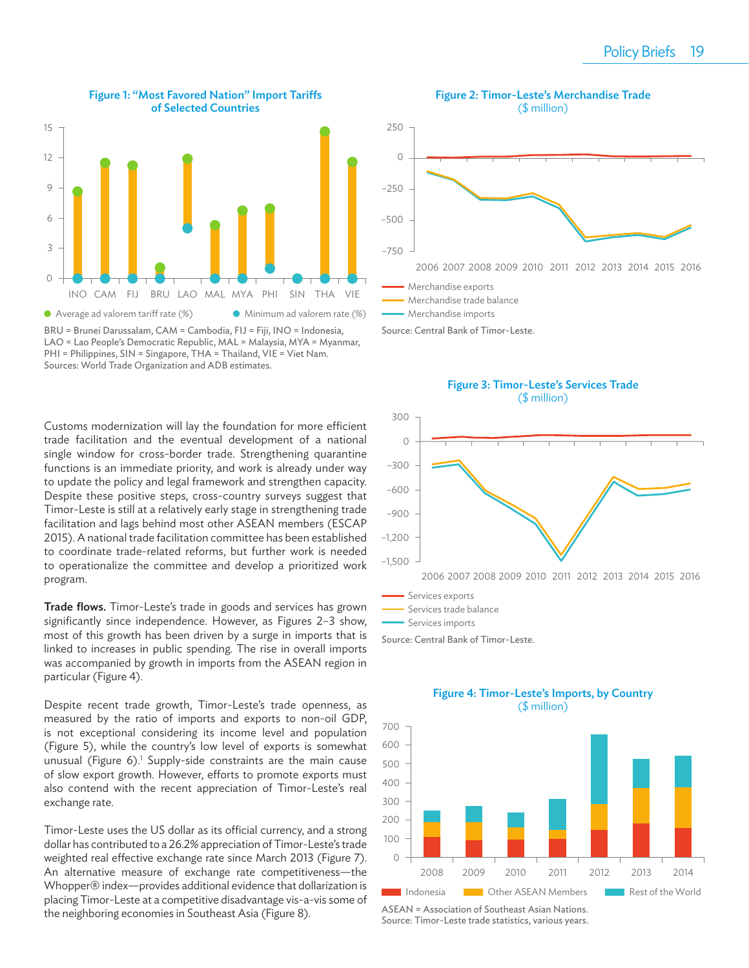

Figure 1: "Most Favored Nation" Import Tariffs of Selected Countries



Customs modernization will lay the foundation for more efficient trade facilitation and the eventual development of a national single window for cross-border trade. Strengthening quarantine functions is an immediate priority, and work is already under way to update the policy and legal framework and strengthen capacity. Despite these positive steps, cross-country surveys suggest that Timor-Leste is still at a relatively early stage in strengthening trade facilitation and lags behind most other ASEAN members (ESCAP 2015). A national trade facilitation committee has been established to coordinate trade-related reforms, but further work is needed to operationalize the committee and develop a prioritized work program.

Trade flows. Timor-Leste's trade in goods and services has grown significantly since independence. However, as Figures 2-3 show, most of this growth has been driven by a surge in imports that is linked to increases in public spending. The rise in overall imports was accompanied by growth in imports from the ASEAN region in particular (Figure 4).

Despite recent trade growth, Timor-Leste's trade openness, as measured by the ratio of imports and exports to non-oil GDP, is not exceptional considering its income level and population (Figure 5), while the country's low level of exports is somewhat unusual (Figure 6).<sup>1</sup> Supply-side constraints are the main cause of slow export growth. However, efforts to promote exports must also contend with the recent appreciation of Timor-Leste's real exchange rate.

Timor-Leste uses the US dollar as its official currency, and a strong dollar has contributed to a 26.2% appreciation of Timor-Leste's trade weighted real effective exchange rate since March 2013 (Figure 7). An alternative measure of exchange rate competitiveness—the Whopper® index—provides additional evidence that dollarization is placing Timor-Leste at a competitive disadvantage vis-a-vis some of the neighboring economies in Southeast Asia (Figure 8).



Figure 3: Timor-Leste's Services Trade (\$ million)



Source: Central Bank of Timor-Leste.



ASEAN = Association of Southeast Asian Nations. Source: Timor-Leste trade statistics, various years.

### Figure 4: Timor-Leste's Imports, by Country (\$ million)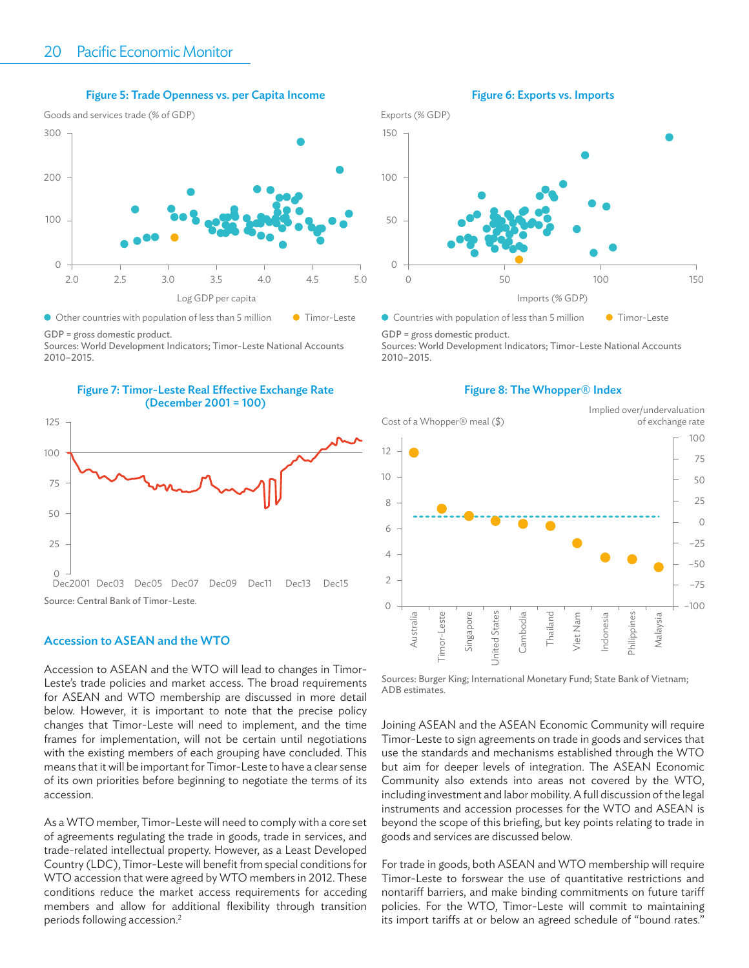#### Figure 5: Trade Openness vs. per Capita Income



GDP = gross domestic product.

Sources: World Development Indicators; Timor-Leste National Accounts 2010–2015.





#### Accession to ASEAN and the WTO

Accession to ASEAN and the WTO will lead to changes in Timor-Leste's trade policies and market access. The broad requirements for ASEAN and WTO membership are discussed in more detail below. However, it is important to note that the precise policy changes that Timor-Leste will need to implement, and the time frames for implementation, will not be certain until negotiations with the existing members of each grouping have concluded. This means that it will be important for Timor-Leste to have a clear sense of its own priorities before beginning to negotiate the terms of its accession.

As a WTO member, Timor-Leste will need to comply with a core set of agreements regulating the trade in goods, trade in services, and trade-related intellectual property. However, as a Least Developed Country (LDC), Timor-Leste will benefit from special conditions for WTO accession that were agreed by WTO members in 2012. These conditions reduce the market access requirements for acceding members and allow for additional flexibility through transition periods following accession.2





● Countries with population of less than 5 million ● Timor-Leste

GDP = gross domestic product.

150

Sources: World Development Indicators; Timor-Leste National Accounts 2010–2015.



Figure 8: The Whopper® Index

Sources: Burger King; International Monetary Fund; State Bank of Vietnam; ADB estimates.

Joining ASEAN and the ASEAN Economic Community will require Timor-Leste to sign agreements on trade in goods and services that use the standards and mechanisms established through the WTO but aim for deeper levels of integration. The ASEAN Economic Community also extends into areas not covered by the WTO, including investment and labor mobility. A full discussion of the legal instruments and accession processes for the WTO and ASEAN is beyond the scope of this briefing, but key points relating to trade in goods and services are discussed below.

For trade in goods, both ASEAN and WTO membership will require Timor-Leste to forswear the use of quantitative restrictions and nontariff barriers, and make binding commitments on future tariff policies. For the WTO, Timor-Leste will commit to maintaining its import tariffs at or below an agreed schedule of "bound rates."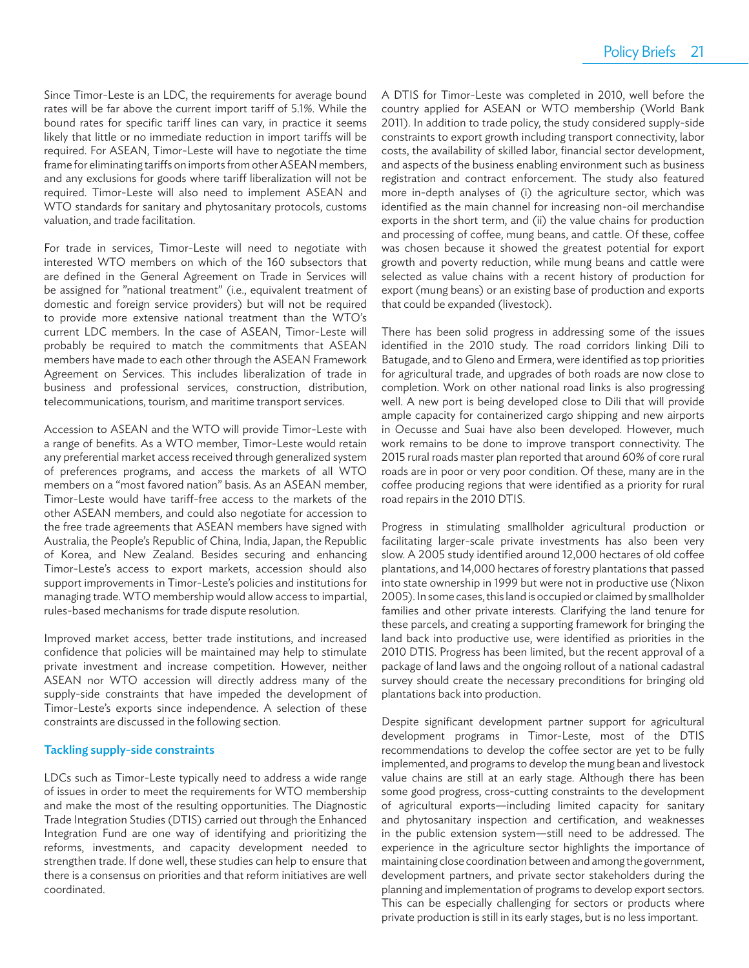Since Timor-Leste is an LDC, the requirements for average bound rates will be far above the current import tariff of 5.1%. While the bound rates for specific tariff lines can vary, in practice it seems likely that little or no immediate reduction in import tariffs will be required. For ASEAN, Timor-Leste will have to negotiate the time frame for eliminating tariffs on imports from other ASEAN members, and any exclusions for goods where tariff liberalization will not be required. Timor-Leste will also need to implement ASEAN and WTO standards for sanitary and phytosanitary protocols, customs valuation, and trade facilitation.

For trade in services, Timor-Leste will need to negotiate with interested WTO members on which of the 160 subsectors that are defined in the General Agreement on Trade in Services will be assigned for "national treatment" (i.e., equivalent treatment of domestic and foreign service providers) but will not be required to provide more extensive national treatment than the WTO's current LDC members. In the case of ASEAN, Timor-Leste will probably be required to match the commitments that ASEAN members have made to each other through the ASEAN Framework Agreement on Services. This includes liberalization of trade in business and professional services, construction, distribution, telecommunications, tourism, and maritime transport services.

Accession to ASEAN and the WTO will provide Timor-Leste with a range of benefits. As a WTO member, Timor-Leste would retain any preferential market access received through generalized system of preferences programs, and access the markets of all WTO members on a "most favored nation" basis. As an ASEAN member, Timor-Leste would have tariff -free access to the markets of the other ASEAN members, and could also negotiate for accession to the free trade agreements that ASEAN members have signed with Australia, the People's Republic of China, India, Japan, the Republic of Korea, and New Zealand. Besides securing and enhancing Timor-Leste's access to export markets, accession should also support improvements in Timor-Leste's policies and institutions for managing trade. WTO membership would allow access to impartial, rules-based mechanisms for trade dispute resolution.

Improved market access, better trade institutions, and increased confidence that policies will be maintained may help to stimulate private investment and increase competition. However, neither ASEAN nor WTO accession will directly address many of the supply-side constraints that have impeded the development of Timor-Leste's exports since independence. A selection of these constraints are discussed in the following section.

#### Tackling supply-side constraints

LDCs such as Timor-Leste typically need to address a wide range of issues in order to meet the requirements for WTO membership and make the most of the resulting opportunities. The Diagnostic Trade Integration Studies (DTIS) carried out through the Enhanced Integration Fund are one way of identifying and prioritizing the reforms, investments, and capacity development needed to strengthen trade. If done well, these studies can help to ensure that there is a consensus on priorities and that reform initiatives are well coordinated.

A DTIS for Timor-Leste was completed in 2010, well before the country applied for ASEAN or WTO membership (World Bank 2011). In addition to trade policy, the study considered supply-side constraints to export growth including transport connectivity, labor costs, the availability of skilled labor, financial sector development, and aspects of the business enabling environment such as business registration and contract enforcement. The study also featured more in-depth analyses of (i) the agriculture sector, which was identified as the main channel for increasing non-oil merchandise exports in the short term, and (ii) the value chains for production and processing of coffee, mung beans, and cattle. Of these, coffee was chosen because it showed the greatest potential for export growth and poverty reduction, while mung beans and cattle were selected as value chains with a recent history of production for export (mung beans) or an existing base of production and exports that could be expanded (livestock).

There has been solid progress in addressing some of the issues identified in the 2010 study. The road corridors linking Dili to Batugade, and to Gleno and Ermera, were identified as top priorities for agricultural trade, and upgrades of both roads are now close to completion. Work on other national road links is also progressing well. A new port is being developed close to Dili that will provide ample capacity for containerized cargo shipping and new airports in Oecusse and Suai have also been developed. However, much work remains to be done to improve transport connectivity. The 2015 rural roads master plan reported that around 60% of core rural roads are in poor or very poor condition. Of these, many are in the coffee producing regions that were identified as a priority for rural road repairs in the 2010 DTIS.

Progress in stimulating smallholder agricultural production or facilitating larger-scale private investments has also been very slow. A 2005 study identified around 12,000 hectares of old coffee plantations, and 14,000 hectares of forestry plantations that passed into state ownership in 1999 but were not in productive use (Nixon 2005). In some cases, this land is occupied or claimed by smallholder families and other private interests. Clarifying the land tenure for these parcels, and creating a supporting framework for bringing the land back into productive use, were identified as priorities in the 2010 DTIS. Progress has been limited, but the recent approval of a package of land laws and the ongoing rollout of a national cadastral survey should create the necessary preconditions for bringing old plantations back into production.

Despite significant development partner support for agricultural development programs in Timor-Leste, most of the DTIS recommendations to develop the coffee sector are yet to be fully implemented, and programs to develop the mung bean and livestock value chains are still at an early stage. Although there has been some good progress, cross-cutting constraints to the development of agricultural exports—including limited capacity for sanitary and phytosanitary inspection and certification, and weaknesses in the public extension system—still need to be addressed. The experience in the agriculture sector highlights the importance of maintaining close coordination between and among the government, development partners, and private sector stakeholders during the planning and implementation of programs to develop export sectors. This can be especially challenging for sectors or products where private production is still in its early stages, but is no less important.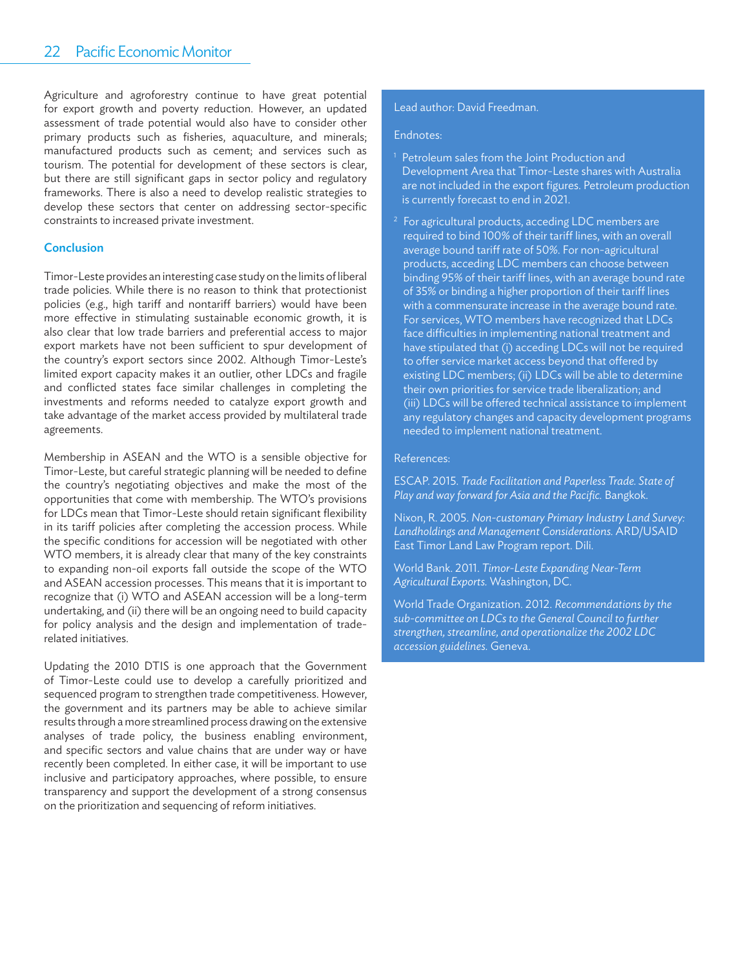#### 22-Pacific Economic Monitor

Agriculture and agroforestry continue to have great potential for export growth and poverty reduction. However, an updated assessment of trade potential would also have to consider other primary products such as fisheries, aquaculture, and minerals; manufactured products such as cement; and services such as tourism. The potential for development of these sectors is clear, but there are still significant gaps in sector policy and regulatory frameworks. There is also a need to develop realistic strategies to develop these sectors that center on addressing sector-specific constraints to increased private investment.

#### **Conclusion**

Timor-Leste provides an interesting case study on the limits of liberal trade policies. While there is no reason to think that protectionist policies (e.g., high tariff and nontariff barriers) would have been more effective in stimulating sustainable economic growth, it is also clear that low trade barriers and preferential access to major export markets have not been sufficient to spur development of the country's export sectors since 2002. Although Timor-Leste's limited export capacity makes it an outlier, other LDCs and fragile and conflicted states face similar challenges in completing the investments and reforms needed to catalyze export growth and take advantage of the market access provided by multilateral trade agreements.

Membership in ASEAN and the WTO is a sensible objective for Timor-Leste, but careful strategic planning will be needed to define the country's negotiating objectives and make the most of the opportunities that come with membership. The WTO's provisions for LDCs mean that Timor-Leste should retain significant flexibility in its tariff policies after completing the accession process. While the specific conditions for accession will be negotiated with other WTO members, it is already clear that many of the key constraints to expanding non-oil exports fall outside the scope of the WTO and ASEAN accession processes. This means that it is important to recognize that (i) WTO and ASEAN accession will be a long-term undertaking, and (ii) there will be an ongoing need to build capacity for policy analysis and the design and implementation of traderelated initiatives.

Updating the 2010 DTIS is one approach that the Government of Timor-Leste could use to develop a carefully prioritized and sequenced program to strengthen trade competitiveness. However, the government and its partners may be able to achieve similar results through a more streamlined process drawing on the extensive analyses of trade policy, the business enabling environment, and specific sectors and value chains that are under way or have recently been completed. In either case, it will be important to use inclusive and participatory approaches, where possible, to ensure transparency and support the development of a strong consensus on the prioritization and sequencing of reform initiatives.

#### Lead author: David Freedman.

#### Endnotes:

- 1 Petroleum sales from the Joint Production and Development Area that Timor-Leste shares with Australia are not included in the export figures. Petroleum production is currently forecast to end in 2021.
- <sup>2</sup> For agricultural products, acceding LDC members are required to bind 100% of their tariff lines, with an overall average bound tariff rate of 50%. For non-agricultural products, acceding LDC members can choose between binding 95% of their tariff lines, with an average bound rate of 35% or binding a higher proportion of their tariff lines with a commensurate increase in the average bound rate. For services, WTO members have recognized that LDCs face difficulties in implementing national treatment and have stipulated that (i) acceding LDCs will not be required to offer service market access beyond that offered by existing LDC members; (ii) LDCs will be able to determine their own priorities for service trade liberalization; and (iii) LDCs will be offered technical assistance to implement any regulatory changes and capacity development programs needed to implement national treatment.

#### References:

ESCAP. 2015. *Trade Facilitation and Paperless Trade. State of*  Play and way forward for Asia and the Pacific. Bangkok.

Nixon, R. 2005. *Non-customary Primary Industry Land Survey: Landholdings and Management Considerations.* ARD/USAID East Timor Land Law Program report. Dili.

World Bank. 2011. *Timor-Leste Expanding Near-Term Agricultural Exports.* Washington, DC.

World Trade Organization. 2012. *Recommendations by the sub-committee on LDCs to the General Council to further strengthen, streamline, and operationalize the 2002 LDC accession guidelines.* Geneva.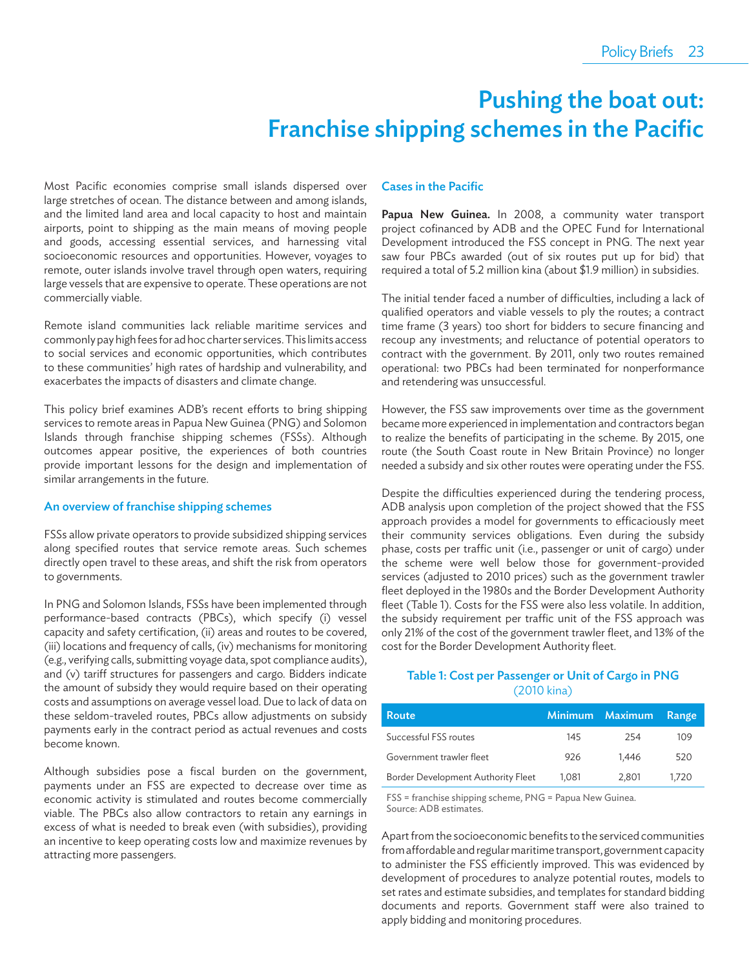# Pushing the boat out: Franchise shipping schemes in the Pacific

Most Pacific economies comprise small islands dispersed over large stretches of ocean. The distance between and among islands, and the limited land area and local capacity to host and maintain airports, point to shipping as the main means of moving people and goods, accessing essential services, and harnessing vital socioeconomic resources and opportunities. However, voyages to remote, outer islands involve travel through open waters, requiring large vessels that are expensive to operate. These operations are not commercially viable.

Remote island communities lack reliable maritime services and commonly pay high fees for ad hoc charter services. This limits access to social services and economic opportunities, which contributes to these communities' high rates of hardship and vulnerability, and exacerbates the impacts of disasters and climate change.

This policy brief examines ADB's recent efforts to bring shipping services to remote areas in Papua New Guinea (PNG) and Solomon Islands through franchise shipping schemes (FSSs). Although outcomes appear positive, the experiences of both countries provide important lessons for the design and implementation of similar arrangements in the future.

#### An overview of franchise shipping schemes

FSSs allow private operators to provide subsidized shipping services along specified routes that service remote areas. Such schemes directly open travel to these areas, and shift the risk from operators to governments.

In PNG and Solomon Islands, FSSs have been implemented through performance-based contracts (PBCs), which specify (i) vessel capacity and safety certification, (ii) areas and routes to be covered, (iii) locations and frequency of calls, (iv) mechanisms for monitoring (e.g., verifying calls, submitting voyage data, spot compliance audits), and (v) tariff structures for passengers and cargo. Bidders indicate the amount of subsidy they would require based on their operating costs and assumptions on average vessel load. Due to lack of data on these seldom-traveled routes, PBCs allow adjustments on subsidy payments early in the contract period as actual revenues and costs become known.

Although subsidies pose a fiscal burden on the government, payments under an FSS are expected to decrease over time as economic activity is stimulated and routes become commercially viable. The PBCs also allow contractors to retain any earnings in excess of what is needed to break even (with subsidies), providing an incentive to keep operating costs low and maximize revenues by attracting more passengers.

#### **Cases in the Pacific**

Papua New Guinea. In 2008, a community water transport project cofinanced by ADB and the OPEC Fund for International Development introduced the FSS concept in PNG. The next year saw four PBCs awarded (out of six routes put up for bid) that required a total of 5.2 million kina (about \$1.9 million) in subsidies.

The initial tender faced a number of difficulties, including a lack of qualified operators and viable vessels to ply the routes; a contract time frame (3 years) too short for bidders to secure financing and recoup any investments; and reluctance of potential operators to contract with the government. By 2011, only two routes remained operational: two PBCs had been terminated for nonperformance and retendering was unsuccessful.

However, the FSS saw improvements over time as the government became more experienced in implementation and contractors began to realize the benefits of participating in the scheme. By 2015, one route (the South Coast route in New Britain Province) no longer needed a subsidy and six other routes were operating under the FSS.

Despite the difficulties experienced during the tendering process, ADB analysis upon completion of the project showed that the FSS approach provides a model for governments to efficaciously meet their community services obligations. Even during the subsidy phase, costs per traffic unit (i.e., passenger or unit of cargo) under the scheme were well below those for government-provided services (adjusted to 2010 prices) such as the government trawler fleet deployed in the 1980s and the Border Development Authority fleet (Table 1). Costs for the FSS were also less volatile. In addition, the subsidy requirement per traffic unit of the FSS approach was only 21% of the cost of the government trawler fleet, and 13% of the cost for the Border Development Authority fleet.

#### Table 1: Cost per Passenger or Unit of Cargo in PNG (2010 kina)

| Route                              | <b>Minimum</b> | Maximum | <b>Range</b> |
|------------------------------------|----------------|---------|--------------|
| Successful FSS routes              | 145            | 254     | 109          |
| Government trawler fleet           | 926            | 1.446   | 520          |
| Border Development Authority Fleet | 1.081          | 2,801   | 1.720        |

FSS = franchise shipping scheme, PNG = Papua New Guinea. Source: ADB estimates.

Apart from the socioeconomic benefits to the serviced communities from affordable and regular maritime transport, government capacity to administer the FSS efficiently improved. This was evidenced by development of procedures to analyze potential routes, models to set rates and estimate subsidies, and templates for standard bidding documents and reports. Government staff were also trained to apply bidding and monitoring procedures.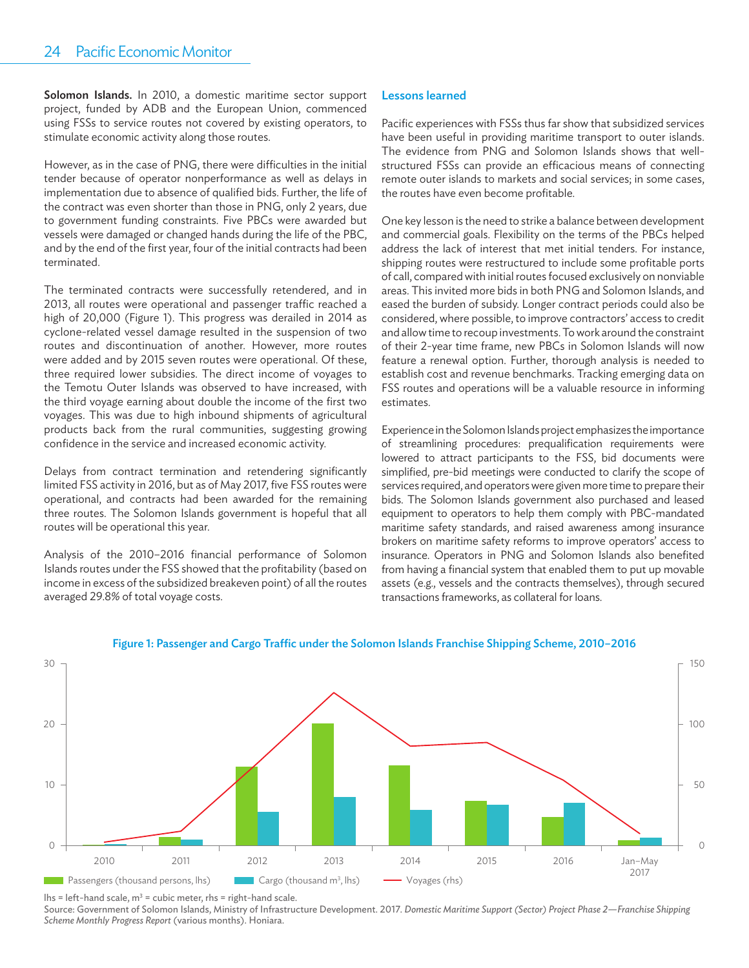Solomon Islands. In 2010, a domestic maritime sector support project, funded by ADB and the European Union, commenced using FSSs to service routes not covered by existing operators, to stimulate economic activity along those routes.

However, as in the case of PNG, there were difficulties in the initial tender because of operator nonperformance as well as delays in implementation due to absence of qualified bids. Further, the life of the contract was even shorter than those in PNG, only 2 years, due to government funding constraints. Five PBCs were awarded but vessels were damaged or changed hands during the life of the PBC, and by the end of the first year, four of the initial contracts had been terminated.

The terminated contracts were successfully retendered, and in 2013, all routes were operational and passenger traffic reached a high of 20,000 (Figure 1). This progress was derailed in 2014 as cyclone-related vessel damage resulted in the suspension of two routes and discontinuation of another. However, more routes were added and by 2015 seven routes were operational. Of these, three required lower subsidies. The direct income of voyages to the Temotu Outer Islands was observed to have increased, with the third voyage earning about double the income of the first two voyages. This was due to high inbound shipments of agricultural products back from the rural communities, suggesting growing confidence in the service and increased economic activity.

Delays from contract termination and retendering significantly limited FSS activity in 2016, but as of May 2017, five FSS routes were operational, and contracts had been awarded for the remaining three routes. The Solomon Islands government is hopeful that all routes will be operational this year.

Analysis of the 2010-2016 financial performance of Solomon Islands routes under the FSS showed that the profitability (based on income in excess of the subsidized breakeven point) of all the routes averaged 29.8% of total voyage costs.

#### Lessons learned

Pacific experiences with FSSs thus far show that subsidized services have been useful in providing maritime transport to outer islands. The evidence from PNG and Solomon Islands shows that wellstructured FSSs can provide an efficacious means of connecting remote outer islands to markets and social services; in some cases, the routes have even become profitable.

One key lesson is the need to strike a balance between development and commercial goals. Flexibility on the terms of the PBCs helped address the lack of interest that met initial tenders. For instance, shipping routes were restructured to include some profitable ports of call, compared with initial routes focused exclusively on nonviable areas. This invited more bids in both PNG and Solomon Islands, and eased the burden of subsidy. Longer contract periods could also be considered, where possible, to improve contractors' access to credit and allow time to recoup investments. To work around the constraint of their 2-year time frame, new PBCs in Solomon Islands will now feature a renewal option. Further, thorough analysis is needed to establish cost and revenue benchmarks. Tracking emerging data on FSS routes and operations will be a valuable resource in informing estimates.

Experience in the Solomon Islands project emphasizes the importance of streamlining procedures: prequalification requirements were lowered to attract participants to the FSS, bid documents were simplified, pre-bid meetings were conducted to clarify the scope of services required, and operators were given more time to prepare their bids. The Solomon Islands government also purchased and leased equipment to operators to help them comply with PBC-mandated maritime safety standards, and raised awareness among insurance brokers on maritime safety reforms to improve operators' access to insurance. Operators in PNG and Solomon Islands also benefited from having a financial system that enabled them to put up movable assets (e.g., vessels and the contracts themselves), through secured transactions frameworks, as collateral for loans.



#### Figure 1: Passenger and Cargo Traffic under the Solomon Islands Franchise Shipping Scheme, 2010-2016

lhs = left-hand scale,  $m^3$  = cubic meter, rhs = right-hand scale.

Source: Government of Solomon Islands, Ministry of Infrastructure Development. 2017. *Domestic Maritime Support (Sector) Project Phase 2—Franchise Shipping Scheme Monthly Progress Report* (various months). Honiara.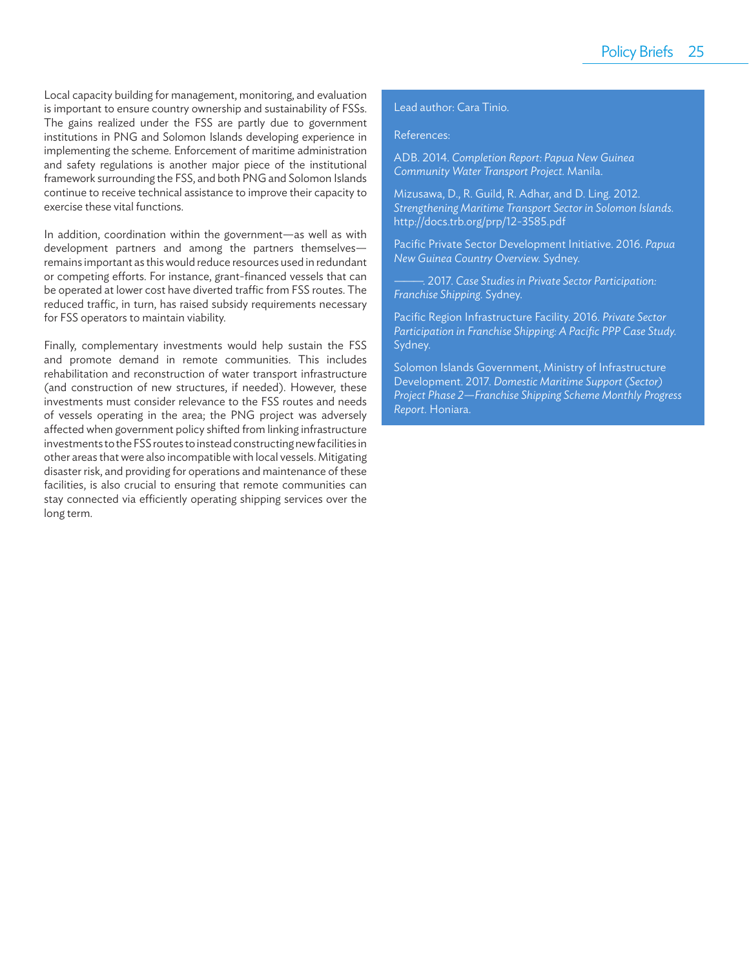Local capacity building for management, monitoring, and evaluation is important to ensure country ownership and sustainability of FSSs. The gains realized under the FSS are partly due to government institutions in PNG and Solomon Islands developing experience in implementing the scheme. Enforcement of maritime administration and safety regulations is another major piece of the institutional framework surrounding the FSS, and both PNG and Solomon Islands continue to receive technical assistance to improve their capacity to exercise these vital functions.

In addition, coordination within the government—as well as with development partners and among the partners themselves remains important as this would reduce resources used in redundant or competing efforts. For instance, grant-financed vessels that can be operated at lower cost have diverted traffic from FSS routes. The reduced traffic, in turn, has raised subsidy requirements necessary for FSS operators to maintain viability.

Finally, complementary investments would help sustain the FSS and promote demand in remote communities. This includes rehabilitation and reconstruction of water transport infrastructure (and construction of new structures, if needed). However, these investments must consider relevance to the FSS routes and needs of vessels operating in the area; the PNG project was adversely affected when government policy shifted from linking infrastructure investments to the FSS routes to instead constructing new facilities in other areas that were also incompatible with local vessels. Mitigating disaster risk, and providing for operations and maintenance of these facilities, is also crucial to ensuring that remote communities can stay connected via efficiently operating shipping services over the long term.

#### Lead author: Cara Tinio.

#### References:

ADB. 2014. *Completion Report: Papua New Guinea Community Water Transport Project.* Manila.

Mizusawa, D., R. Guild, R. Adhar, and D. Ling. 2012. *Strengthening Maritime Transport Sector in Solomon Islands.*  http://docs.trb.org/prp/12-3585.pdf

Pacific Private Sector Development Initiative. 2016. Papua *New Guinea Country Overview.* Sydney.

———. 2017. *Case Studies in Private Sector Participation: Franchise Shipping.* Sydney.

Pacific Region Infrastructure Facility. 2016. Private Sector Participation in Franchise Shipping: A Pacific PPP Case Study. Sydney.

Solomon Islands Government, Ministry of Infrastructure Development. 2017. *Domestic Maritime Support (Sector) Project Phase 2—Franchise Shipping Scheme Monthly Progress Report.* Honiara.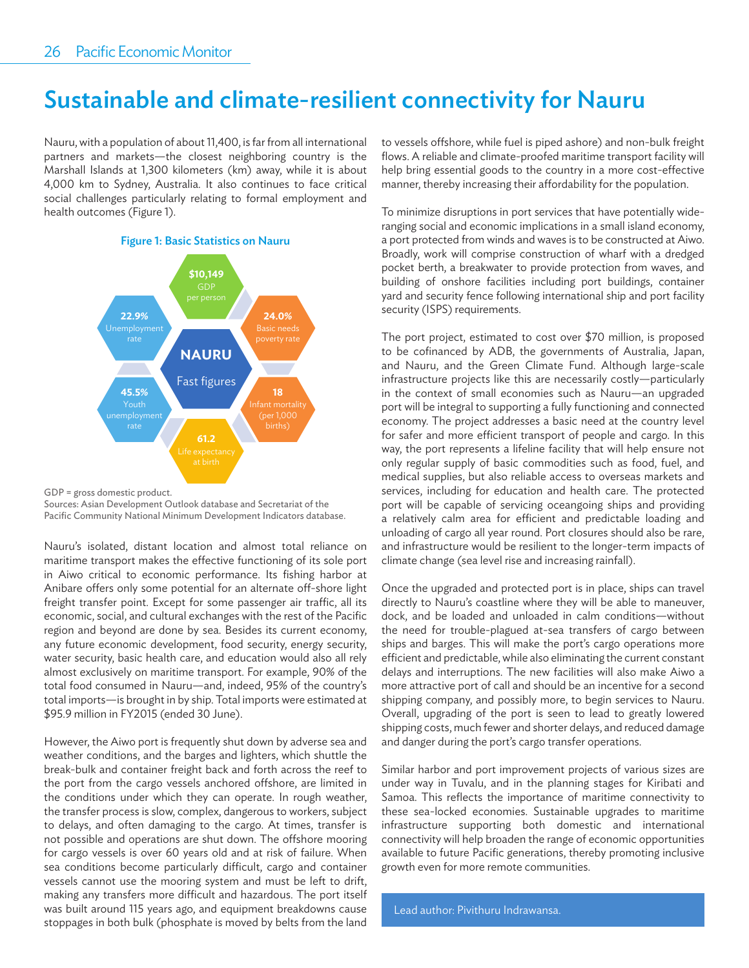# Sustainable and climate-resilient connectivity for Nauru

Nauru, with a population of about 11,400, is far from all international partners and markets—the closest neighboring country is the Marshall Islands at 1,300 kilometers (km) away, while it is about 4,000 km to Sydney, Australia. It also continues to face critical social challenges particularly relating to formal employment and health outcomes (Figure 1).

#### Figure 1: Basic Statistics on Nauru



GDP = gross domestic product.

Sources: Asian Development Outlook database and Secretariat of the Pacific Community National Minimum Development Indicators database.

Nauru's isolated, distant location and almost total reliance on maritime transport makes the effective functioning of its sole port in Aiwo critical to economic performance. Its fishing harbor at Anibare offers only some potential for an alternate off-shore light freight transfer point. Except for some passenger air traffic, all its economic, social, and cultural exchanges with the rest of the Pacific region and beyond are done by sea. Besides its current economy, any future economic development, food security, energy security, water security, basic health care, and education would also all rely almost exclusively on maritime transport. For example, 90% of the total food consumed in Nauru—and, indeed, 95% of the country's total imports—is brought in by ship. Total imports were estimated at \$95.9 million in FY2015 (ended 30 June).

However, the Aiwo port is frequently shut down by adverse sea and weather conditions, and the barges and lighters, which shuttle the break-bulk and container freight back and forth across the reef to the port from the cargo vessels anchored offshore, are limited in the conditions under which they can operate. In rough weather, the transfer process is slow, complex, dangerous to workers, subject to delays, and often damaging to the cargo. At times, transfer is not possible and operations are shut down. The offshore mooring for cargo vessels is over 60 years old and at risk of failure. When sea conditions become particularly difficult, cargo and container vessels cannot use the mooring system and must be left to drift, making any transfers more difficult and hazardous. The port itself was built around 115 years ago, and equipment breakdowns cause stoppages in both bulk (phosphate is moved by belts from the land

to vessels offshore, while fuel is piped ashore) and non-bulk freight flows. A reliable and climate-proofed maritime transport facility will help bring essential goods to the country in a more cost-effective manner, thereby increasing their affordability for the population.

To minimize disruptions in port services that have potentially wideranging social and economic implications in a small island economy, a port protected from winds and waves is to be constructed at Aiwo. Broadly, work will comprise construction of wharf with a dredged pocket berth, a breakwater to provide protection from waves, and building of onshore facilities including port buildings, container yard and security fence following international ship and port facility security (ISPS) requirements.

The port project, estimated to cost over \$70 million, is proposed to be cofinanced by ADB, the governments of Australia, Japan, and Nauru, and the Green Climate Fund. Although large-scale infrastructure projects like this are necessarily costly—particularly in the context of small economies such as Nauru—an upgraded port will be integral to supporting a fully functioning and connected economy. The project addresses a basic need at the country level for safer and more efficient transport of people and cargo. In this way, the port represents a lifeline facility that will help ensure not only regular supply of basic commodities such as food, fuel, and medical supplies, but also reliable access to overseas markets and services, including for education and health care. The protected port will be capable of servicing oceangoing ships and providing a relatively calm area for efficient and predictable loading and unloading of cargo all year round. Port closures should also be rare, and infrastructure would be resilient to the longer-term impacts of climate change (sea level rise and increasing rainfall).

Once the upgraded and protected port is in place, ships can travel directly to Nauru's coastline where they will be able to maneuver, dock, and be loaded and unloaded in calm conditions—without the need for trouble-plagued at-sea transfers of cargo between ships and barges. This will make the port's cargo operations more efficient and predictable, while also eliminating the current constant delays and interruptions. The new facilities will also make Aiwo a more attractive port of call and should be an incentive for a second shipping company, and possibly more, to begin services to Nauru. Overall, upgrading of the port is seen to lead to greatly lowered shipping costs, much fewer and shorter delays, and reduced damage and danger during the port's cargo transfer operations.

Similar harbor and port improvement projects of various sizes are under way in Tuvalu, and in the planning stages for Kiribati and Samoa. This reflects the importance of maritime connectivity to these sea-locked economies. Sustainable upgrades to maritime infrastructure supporting both domestic and international connectivity will help broaden the range of economic opportunities available to future Pacific generations, thereby promoting inclusive growth even for more remote communities.

Lead author: Pivithuru Indrawansa.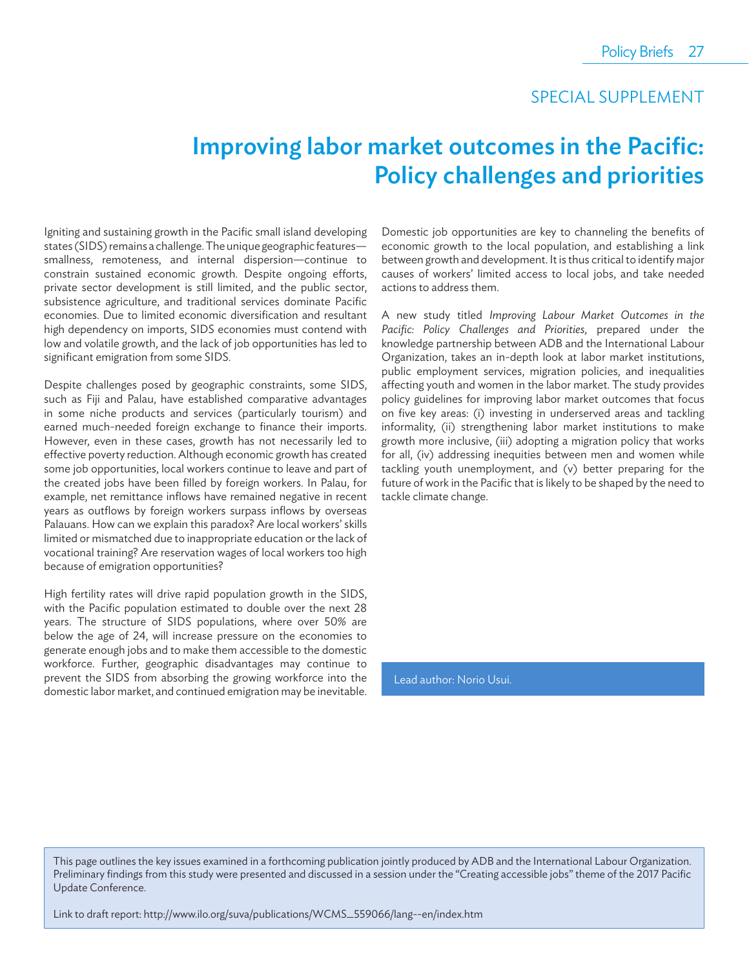### SPECIAL SUPPLEMENT

# Improving labor market outcomes in the Pacific: Policy challenges and priorities

Igniting and sustaining growth in the Pacific small island developing states (SIDS) remains a challenge. The unique geographic features smallness, remoteness, and internal dispersion—continue to constrain sustained economic growth. Despite ongoing efforts, private sector development is still limited, and the public sector, subsistence agriculture, and traditional services dominate Pacific economies. Due to limited economic diversification and resultant high dependency on imports, SIDS economies must contend with low and volatile growth, and the lack of job opportunities has led to significant emigration from some SIDS.

Despite challenges posed by geographic constraints, some SIDS, such as Fiji and Palau, have established comparative advantages in some niche products and services (particularly tourism) and earned much-needed foreign exchange to finance their imports. However, even in these cases, growth has not necessarily led to effective poverty reduction. Although economic growth has created some job opportunities, local workers continue to leave and part of the created jobs have been filled by foreign workers. In Palau, for example, net remittance inflows have remained negative in recent years as outflows by foreign workers surpass inflows by overseas Palauans. How can we explain this paradox? Are local workers' skills limited or mismatched due to inappropriate education or the lack of vocational training? Are reservation wages of local workers too high because of emigration opportunities?

High fertility rates will drive rapid population growth in the SIDS, with the Pacific population estimated to double over the next 28 years. The structure of SIDS populations, where over 50% are below the age of 24, will increase pressure on the economies to generate enough jobs and to make them accessible to the domestic workforce. Further, geographic disadvantages may continue to prevent the SIDS from absorbing the growing workforce into the domestic labor market, and continued emigration may be inevitable.

Domestic job opportunities are key to channeling the benefits of economic growth to the local population, and establishing a link between growth and development. It is thus critical to identify major causes of workers' limited access to local jobs, and take needed actions to address them.

A new study titled *Improving Labour Market Outcomes in the*  Pacific: Policy Challenges and Priorities, prepared under the knowledge partnership between ADB and the International Labour Organization, takes an in-depth look at labor market institutions, public employment services, migration policies, and inequalities affecting youth and women in the labor market. The study provides policy guidelines for improving labor market outcomes that focus on five key areas: (i) investing in underserved areas and tackling informality, (ii) strengthening labor market institutions to make growth more inclusive, (iii) adopting a migration policy that works for all, (iv) addressing inequities between men and women while tackling youth unemployment, and (v) better preparing for the future of work in the Pacific that is likely to be shaped by the need to tackle climate change.

Lead author: Norio Usui.

This page outlines the key issues examined in a forthcoming publication jointly produced by ADB and the International Labour Organization. Preliminary findings from this study were presented and discussed in a session under the "Creating accessible jobs" theme of the 2017 Pacific Update Conference.

Link to draft report: http://www.ilo.org/suva/publications/WCMS\_559066/lang--en/index.htm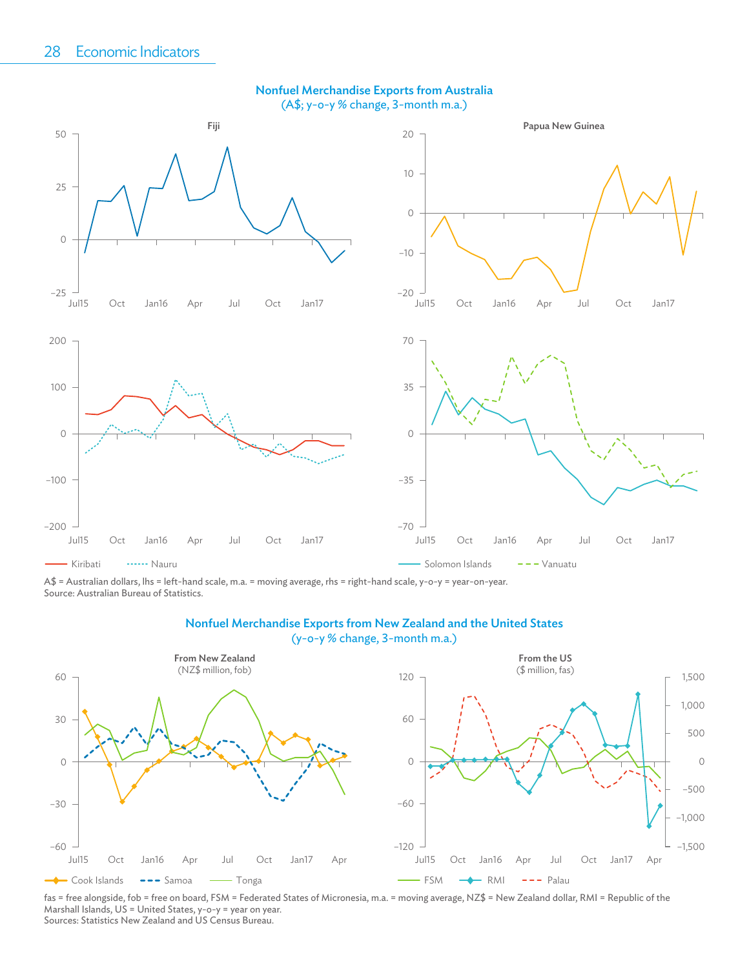

A\$ = Australian dollars, lhs = left-hand scale, m.a. = moving average, rhs = right-hand scale, y-o-y = year-on-year. Source: Australian Bureau of Statistics.

#### Nonfuel Merchandise Exports from New Zealand and the United States

(y-o-y % change, 3-month m.a.)



fas = free alongside, fob = free on board, FSM = Federated States of Micronesia, m.a. = moving average, NZ\$ = New Zealand dollar, RMI = Republic of the Marshall Islands, US = United States, y-o-y = year on year. Sources: Statistics New Zealand and US Census Bureau.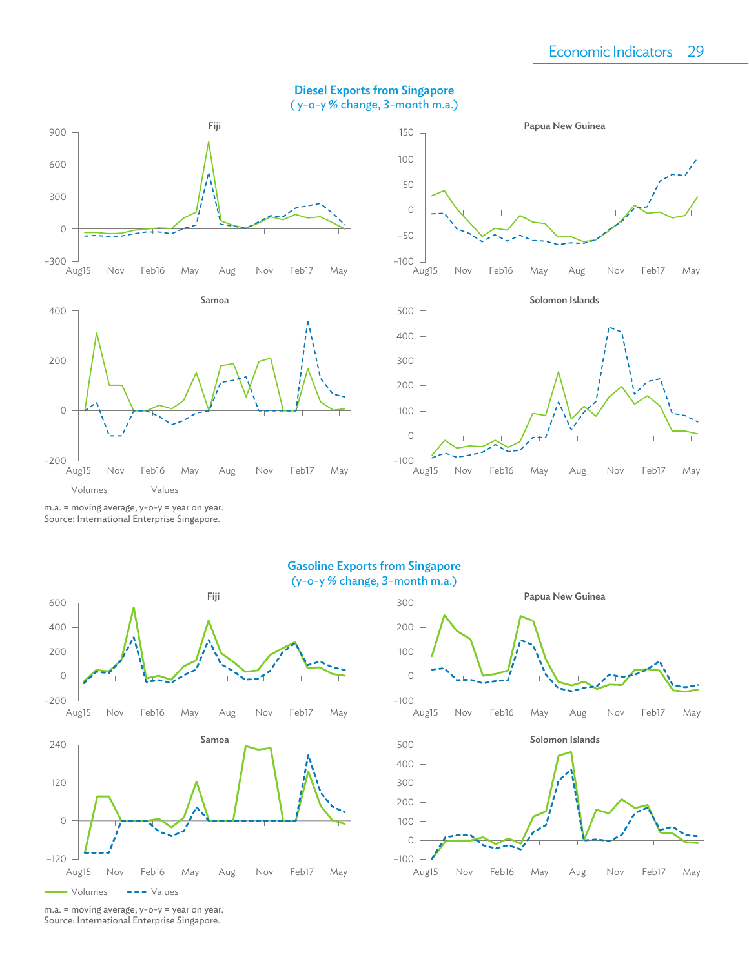#### Diesel Exports from Singapore ( y-o-y % change, 3-month m.a.)









### $-100$   $-1$ <br>Aug15 Aug15 Nov Feb16 May Aug Nov Feb17 May

240 120 –120 0 Samoa Volumes -- Values –200 0 200 400 600 Aug15 Nov Feb16 May Aug Nov Feb17 May Fiji



m.a. = moving average, y-o-y = year on year. Source: International Enterprise Singapore.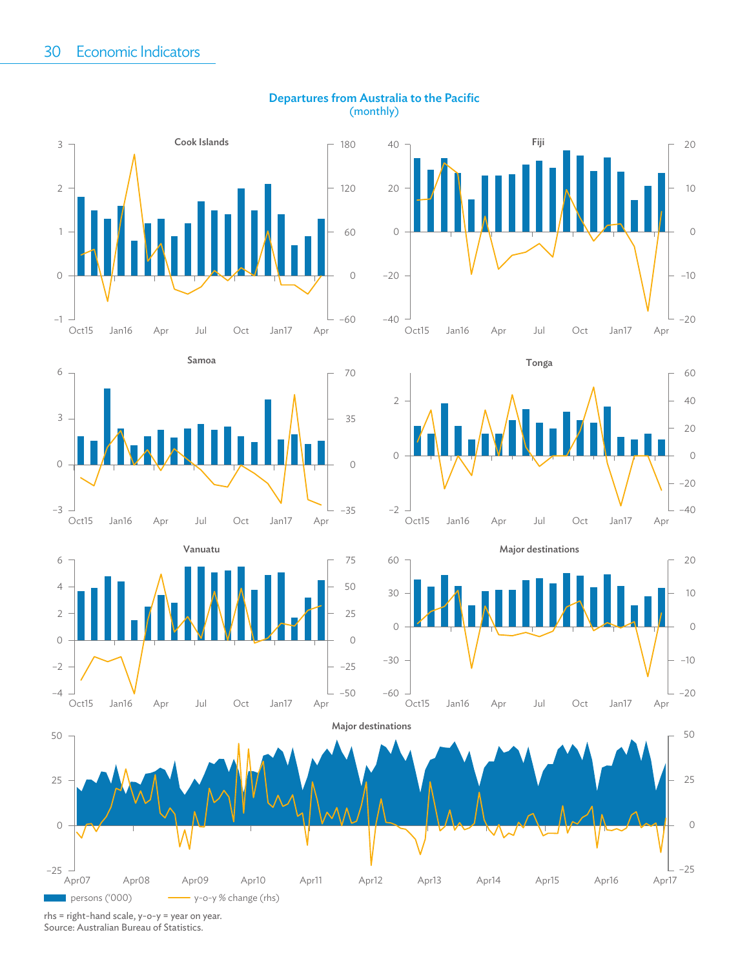

Vanuatu

Oct15 Jan16 Apr Jul Oct Jan17 Apr

Oct15 Jan16 Apr Jul Oct Jan17 Apr

–3

–4

–2

 $\overline{O}$ 

2

4

6

0

#### Departures from Australia to the Pacific (monthly)









–35

0



rhs = right-hand scale, y-o-y = year on year. Source: Australian Bureau of Statistics.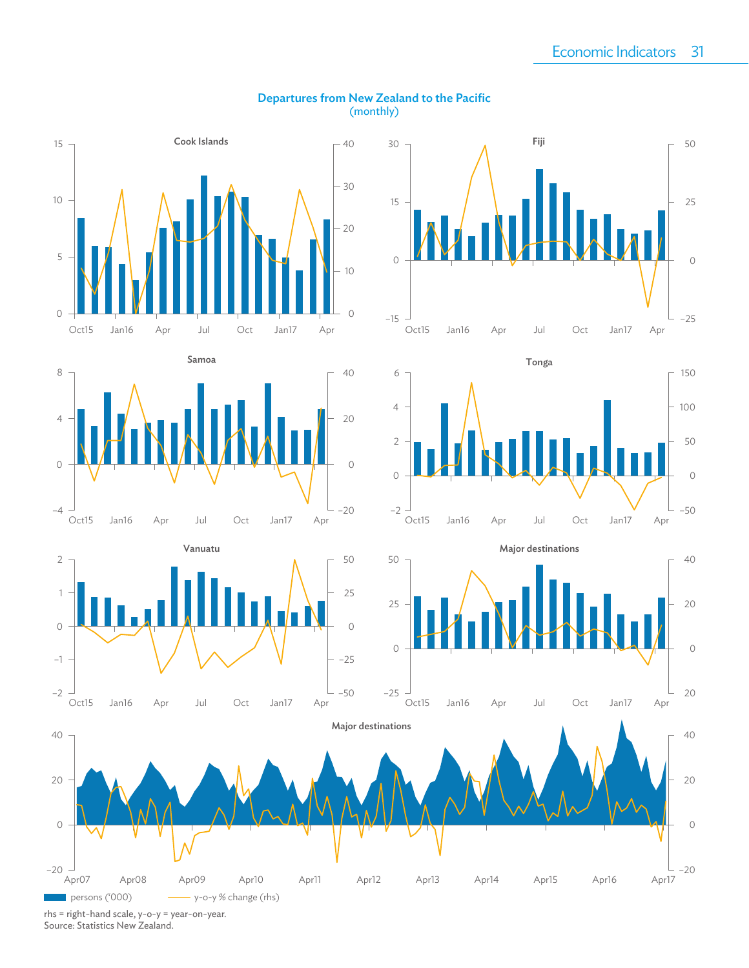

#### Departures from New Zealand to the Pacific (monthly)

rhs = right-hand scale, y-o-y = year-on-year. Source: Statistics New Zealand.